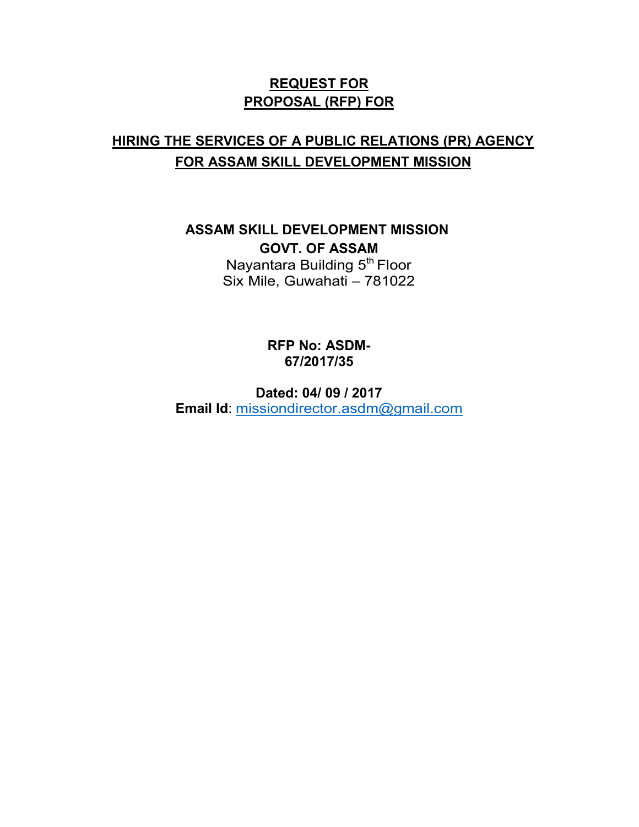## **REQUEST FOR PROPOSAL (RFP) FOR**

# **HIRING THE SERVICES OF A PUBLIC RELATIONS (PR) AGENCY FOR ASSAM SKILL DEVELOPMENT MISSION**

**ASSAM SKILL DEVELOPMENT MISSION GOVT. OF ASSAM**  Nayantara Building  $5<sup>th</sup>$  Floor Six Mile, Guwahati - 781022

> **RFP No: ASDM-67/2017/35**

**Dated: 04/ 09 / 2017 Email Id**: missiondirector.asdm@gmail.com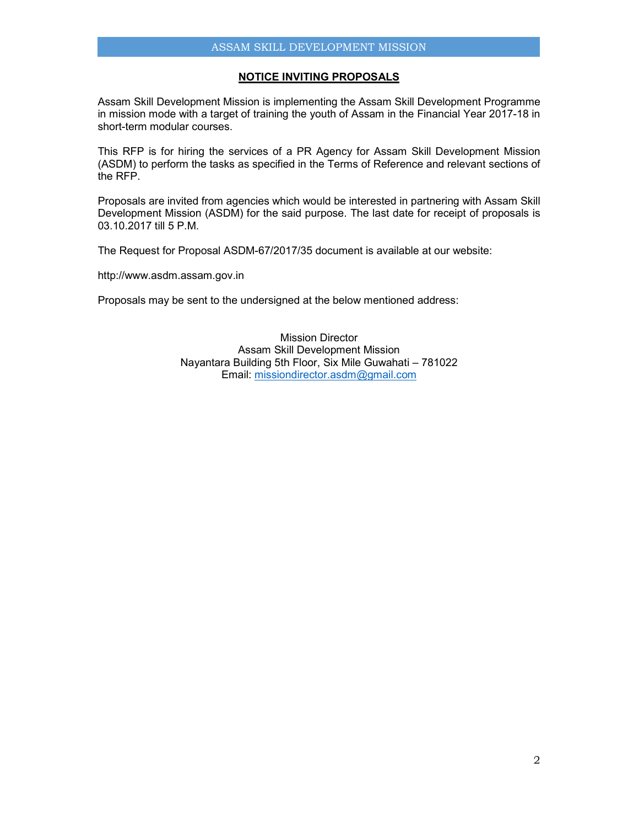### **NOTICE INVITING PROPOSALS**

Assam Skill Development Mission is implementing the Assam Skill Development Programme in mission mode with a target of training the youth of Assam in the Financial Year 2017-18 in short-term modular courses.

This RFP is for hiring the services of a PR Agency for Assam Skill Development Mission (ASDM) to perform the tasks as specified in the Terms of Reference and relevant sections of the RFP.

Proposals are invited from agencies which would be interested in partnering with Assam Skill Development Mission (ASDM) for the said purpose. The last date for receipt of proposals is 03.10.2017 till 5 P.M.

The Request for Proposal ASDM-67/2017/35 document is available at our website:

http://www.asdm.assam.gov.in

Proposals may be sent to the undersigned at the below mentioned address:

Mission Director Assam Skill Development Mission Nayantara Building 5th Floor, Six Mile Guwahati – 781022 Email: missiondirector.asdm@gmail.com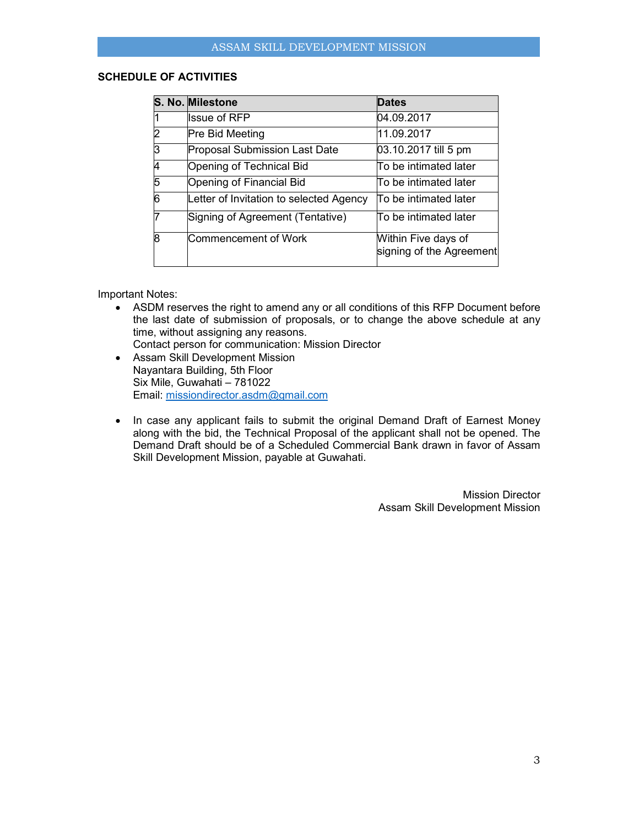## **SCHEDULE OF ACTIVITIES**

|   | S. No. Milestone                        | <b>Dates</b>                                    |
|---|-----------------------------------------|-------------------------------------------------|
|   | <b>Issue of RFP</b>                     | 04.09.2017                                      |
| 2 | <b>Pre Bid Meeting</b>                  | 11.09.2017                                      |
| 3 | <b>Proposal Submission Last Date</b>    | 03.10.2017 till 5 pm                            |
|   | Opening of Technical Bid                | To be intimated later                           |
| 5 | Opening of Financial Bid                | To be intimated later                           |
| 6 | Letter of Invitation to selected Agency | To be intimated later                           |
|   | Signing of Agreement (Tentative)        | To be intimated later                           |
| R | <b>Commencement of Work</b>             | Within Five days of<br>signing of the Agreement |

Important Notes:

• ASDM reserves the right to amend any or all conditions of this RFP Document before the last date of submission of proposals, or to change the above schedule at any time, without assigning any reasons.

Contact person for communication: Mission Director

- Assam Skill Development Mission Nayantara Building, 5th Floor Six Mile, Guwahati – 781022 Email: missiondirector.asdm@gmail.com
- In case any applicant fails to submit the original Demand Draft of Earnest Money along with the bid, the Technical Proposal of the applicant shall not be opened. The Demand Draft should be of a Scheduled Commercial Bank drawn in favor of Assam Skill Development Mission, payable at Guwahati.

Mission Director Assam Skill Development Mission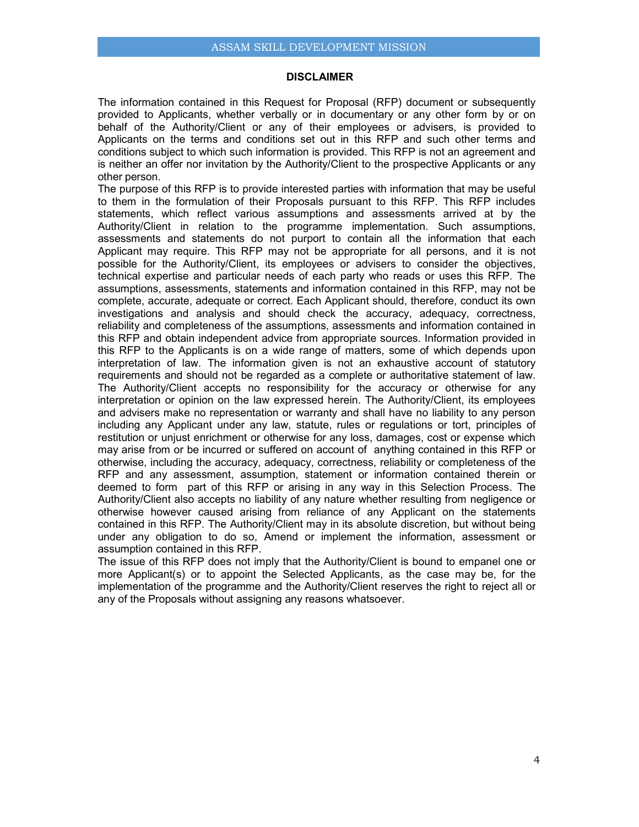#### **DISCLAIMER**

The information contained in this Request for Proposal (RFP) document or subsequently provided to Applicants, whether verbally or in documentary or any other form by or on behalf of the Authority/Client or any of their employees or advisers, is provided to Applicants on the terms and conditions set out in this RFP and such other terms and conditions subject to which such information is provided. This RFP is not an agreement and is neither an offer nor invitation by the Authority/Client to the prospective Applicants or any other person.

The purpose of this RFP is to provide interested parties with information that may be useful to them in the formulation of their Proposals pursuant to this RFP. This RFP includes statements, which reflect various assumptions and assessments arrived at by the Authority/Client in relation to the programme implementation. Such assumptions, assessments and statements do not purport to contain all the information that each Applicant may require. This RFP may not be appropriate for all persons, and it is not possible for the Authority/Client, its employees or advisers to consider the objectives, technical expertise and particular needs of each party who reads or uses this RFP. The assumptions, assessments, statements and information contained in this RFP, may not be complete, accurate, adequate or correct. Each Applicant should, therefore, conduct its own investigations and analysis and should check the accuracy, adequacy, correctness, reliability and completeness of the assumptions, assessments and information contained in this RFP and obtain independent advice from appropriate sources. Information provided in this RFP to the Applicants is on a wide range of matters, some of which depends upon interpretation of law. The information given is not an exhaustive account of statutory requirements and should not be regarded as a complete or authoritative statement of law. The Authority/Client accepts no responsibility for the accuracy or otherwise for any interpretation or opinion on the law expressed herein. The Authority/Client, its employees and advisers make no representation or warranty and shall have no liability to any person including any Applicant under any law, statute, rules or regulations or tort, principles of restitution or unjust enrichment or otherwise for any loss, damages, cost or expense which may arise from or be incurred or suffered on account of anything contained in this RFP or otherwise, including the accuracy, adequacy, correctness, reliability or completeness of the RFP and any assessment, assumption, statement or information contained therein or deemed to form part of this RFP or arising in any way in this Selection Process. The Authority/Client also accepts no liability of any nature whether resulting from negligence or otherwise however caused arising from reliance of any Applicant on the statements contained in this RFP. The Authority/Client may in its absolute discretion, but without being under any obligation to do so, Amend or implement the information, assessment or assumption contained in this RFP.

The issue of this RFP does not imply that the Authority/Client is bound to empanel one or more Applicant(s) or to appoint the Selected Applicants, as the case may be, for the implementation of the programme and the Authority/Client reserves the right to reject all or any of the Proposals without assigning any reasons whatsoever.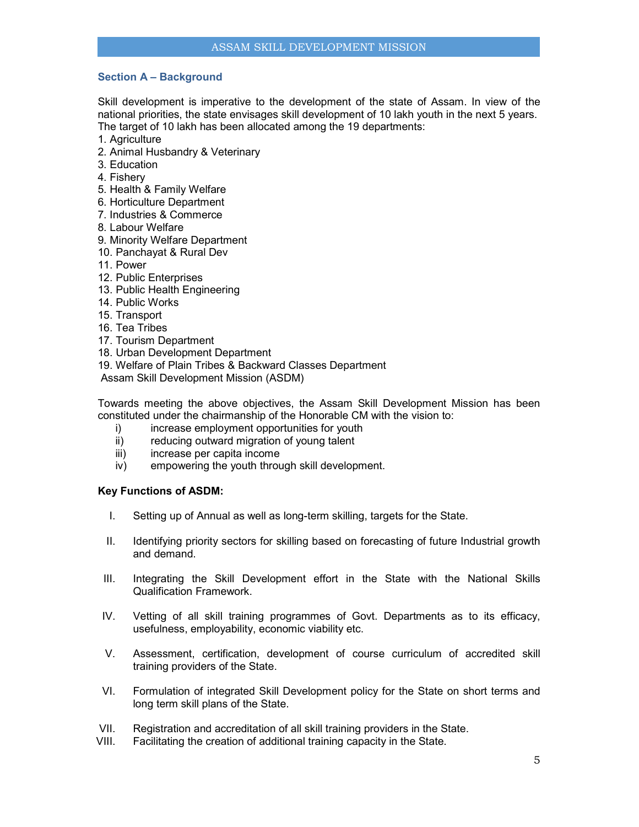## **Section A – Background**

Skill development is imperative to the development of the state of Assam. In view of the national priorities, the state envisages skill development of 10 lakh youth in the next 5 years. The target of 10 lakh has been allocated among the 19 departments:

- 1. Agriculture
- 2. Animal Husbandry & Veterinary
- 3. Education
- 4. Fishery
- 5. Health & Family Welfare
- 6. Horticulture Department
- 7. Industries & Commerce
- 8. Labour Welfare
- 9. Minority Welfare Department
- 10. Panchayat & Rural Dev
- 11. Power
- 12. Public Enterprises
- 13. Public Health Engineering
- 14. Public Works
- 15. Transport
- 16. Tea Tribes
- 17. Tourism Department
- 18. Urban Development Department
- 19. Welfare of Plain Tribes & Backward Classes Department

Assam Skill Development Mission (ASDM)

Towards meeting the above objectives, the Assam Skill Development Mission has been constituted under the chairmanship of the Honorable CM with the vision to:

- i) increase employment opportunities for youth
- ii) reducing outward migration of young talent
- iii) increase per capita income
- iv) empowering the youth through skill development.

## **Key Functions of ASDM:**

- I. Setting up of Annual as well as long-term skilling, targets for the State.
- II. Identifying priority sectors for skilling based on forecasting of future Industrial growth and demand.
- III. Integrating the Skill Development effort in the State with the National Skills Qualification Framework.
- IV. Vetting of all skill training programmes of Govt. Departments as to its efficacy, usefulness, employability, economic viability etc.
- V. Assessment, certification, development of course curriculum of accredited skill training providers of the State.
- VI. Formulation of integrated Skill Development policy for the State on short terms and long term skill plans of the State.
- VII. Registration and accreditation of all skill training providers in the State.
- VIII. Facilitating the creation of additional training capacity in the State.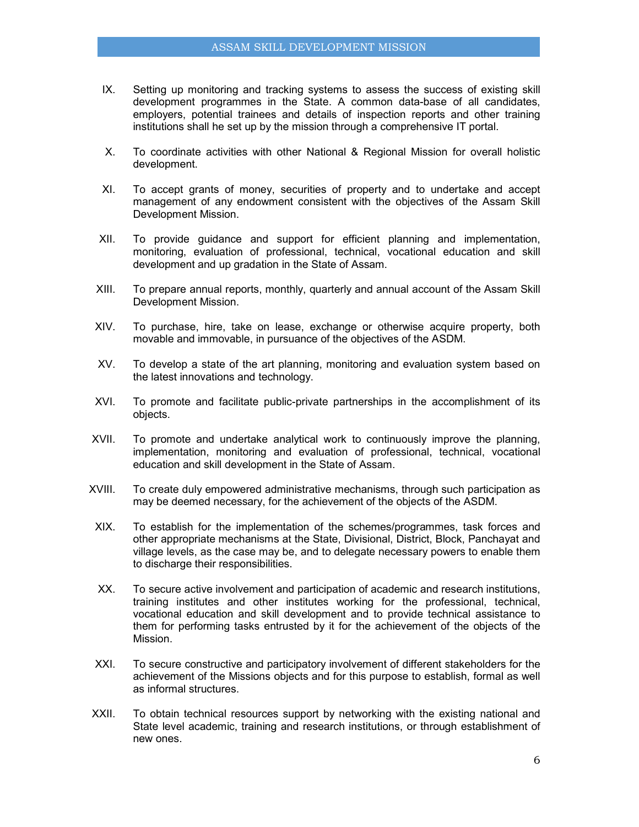- IX. Setting up monitoring and tracking systems to assess the success of existing skill development programmes in the State. A common data-base of all candidates, employers, potential trainees and details of inspection reports and other training institutions shall he set up by the mission through a comprehensive IT portal.
- X. To coordinate activities with other National & Regional Mission for overall holistic development.
- XI. To accept grants of money, securities of property and to undertake and accept management of any endowment consistent with the objectives of the Assam Skill Development Mission.
- XII. To provide guidance and support for efficient planning and implementation, monitoring, evaluation of professional, technical, vocational education and skill development and up gradation in the State of Assam.
- XIII. To prepare annual reports, monthly, quarterly and annual account of the Assam Skill Development Mission.
- XIV. To purchase, hire, take on lease, exchange or otherwise acquire property, both movable and immovable, in pursuance of the objectives of the ASDM.
- XV. To develop a state of the art planning, monitoring and evaluation system based on the latest innovations and technology.
- XVI. To promote and facilitate public-private partnerships in the accomplishment of its objects.
- XVII. To promote and undertake analytical work to continuously improve the planning, implementation, monitoring and evaluation of professional, technical, vocational education and skill development in the State of Assam.
- XVIII. To create duly empowered administrative mechanisms, through such participation as may be deemed necessary, for the achievement of the objects of the ASDM.
- XIX. To establish for the implementation of the schemes/programmes, task forces and other appropriate mechanisms at the State, Divisional, District, Block, Panchayat and village levels, as the case may be, and to delegate necessary powers to enable them to discharge their responsibilities.
- XX. To secure active involvement and participation of academic and research institutions, training institutes and other institutes working for the professional, technical, vocational education and skill development and to provide technical assistance to them for performing tasks entrusted by it for the achievement of the objects of the Mission.
- XXI. To secure constructive and participatory involvement of different stakeholders for the achievement of the Missions objects and for this purpose to establish, formal as well as informal structures.
- XXII. To obtain technical resources support by networking with the existing national and State level academic, training and research institutions, or through establishment of new ones.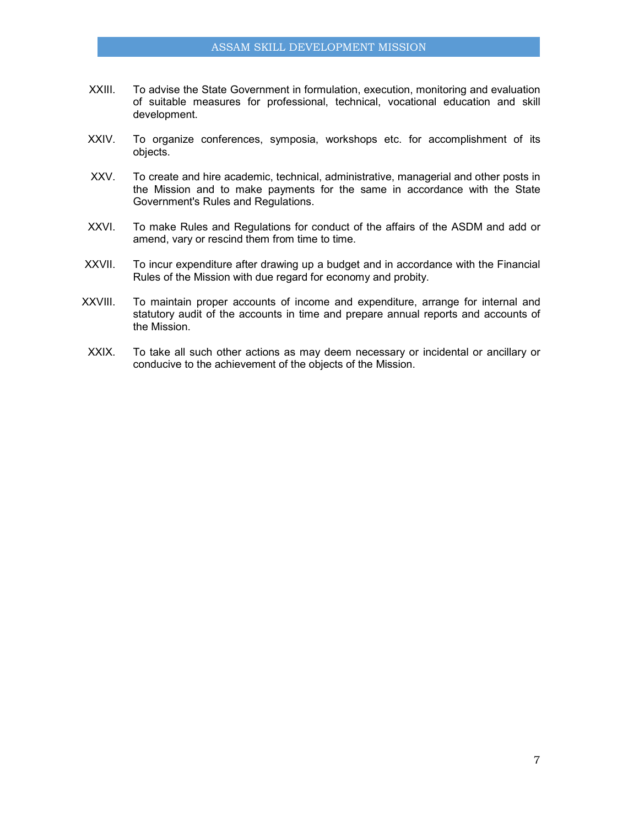- XXIII. To advise the State Government in formulation, execution, monitoring and evaluation of suitable measures for professional, technical, vocational education and skill development.
- XXIV. To organize conferences, symposia, workshops etc. for accomplishment of its objects.
- XXV. To create and hire academic, technical, administrative, managerial and other posts in the Mission and to make payments for the same in accordance with the State Government's Rules and Regulations.
- XXVI. To make Rules and Regulations for conduct of the affairs of the ASDM and add or amend, vary or rescind them from time to time.
- XXVII. To incur expenditure after drawing up a budget and in accordance with the Financial Rules of the Mission with due regard for economy and probity.
- XXVIII. To maintain proper accounts of income and expenditure, arrange for internal and statutory audit of the accounts in time and prepare annual reports and accounts of the Mission.
- XXIX. To take all such other actions as may deem necessary or incidental or ancillary or conducive to the achievement of the objects of the Mission.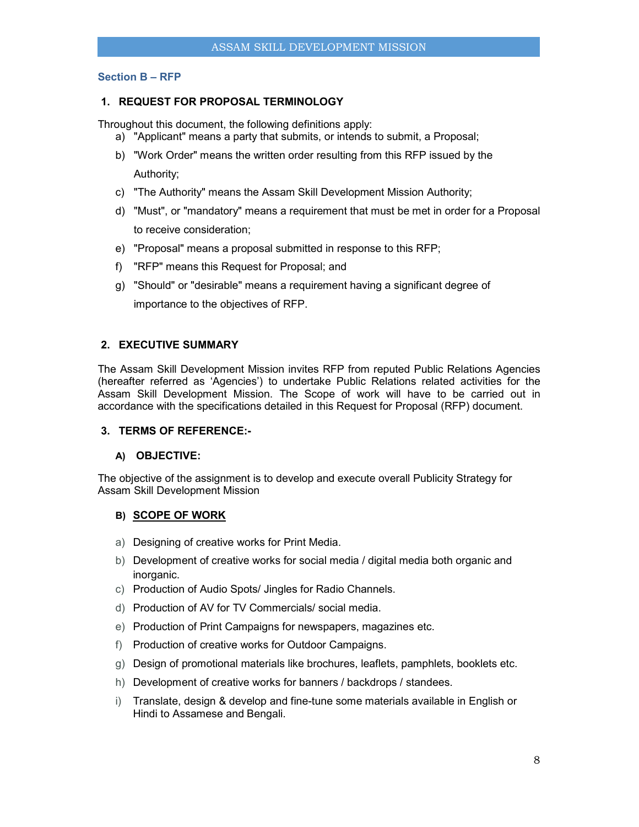## **Section B – RFP**

## **1. REQUEST FOR PROPOSAL TERMINOLOGY**

Throughout this document, the following definitions apply:

- a) "Applicant" means a party that submits, or intends to submit, a Proposal;
- b) "Work Order" means the written order resulting from this RFP issued by the Authority;
- c) "The Authority" means the Assam Skill Development Mission Authority;
- d) "Must", or "mandatory" means a requirement that must be met in order for a Proposal to receive consideration;
- e) "Proposal" means a proposal submitted in response to this RFP;
- f) "RFP" means this Request for Proposal; and
- g) "Should" or "desirable" means a requirement having a significant degree of importance to the objectives of RFP.

## **2. EXECUTIVE SUMMARY**

The Assam Skill Development Mission invites RFP from reputed Public Relations Agencies (hereafter referred as 'Agencies') to undertake Public Relations related activities for the Assam Skill Development Mission. The Scope of work will have to be carried out in accordance with the specifications detailed in this Request for Proposal (RFP) document.

## **3. TERMS OF REFERENCE:-**

## **A) OBJECTIVE:**

The objective of the assignment is to develop and execute overall Publicity Strategy for Assam Skill Development Mission

#### **B) SCOPE OF WORK**

- a) Designing of creative works for Print Media.
- b) Development of creative works for social media / digital media both organic and inorganic.
- c) Production of Audio Spots/ Jingles for Radio Channels.
- d) Production of AV for TV Commercials/ social media.
- e) Production of Print Campaigns for newspapers, magazines etc.
- f) Production of creative works for Outdoor Campaigns.
- g) Design of promotional materials like brochures, leaflets, pamphlets, booklets etc.
- h) Development of creative works for banners / backdrops / standees.
- i) Translate, design & develop and fine-tune some materials available in English or Hindi to Assamese and Bengali.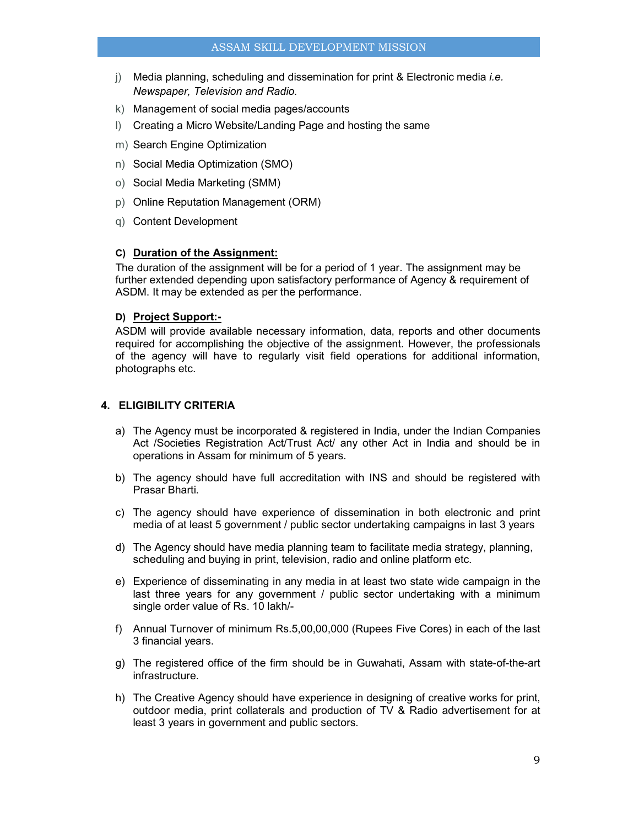## ASSAM SKILL DEVELOPMENT MISSION

- j) Media planning, scheduling and dissemination for print & Electronic media *i.e. Newspaper, Television and Radio.*
- k) Management of social media pages/accounts
- l) Creating a Micro Website/Landing Page and hosting the same
- m) Search Engine Optimization
- n) Social Media Optimization (SMO)
- o) Social Media Marketing (SMM)
- p) Online Reputation Management (ORM)
- q) Content Development

## **C) Duration of the Assignment:**

The duration of the assignment will be for a period of 1 year. The assignment may be further extended depending upon satisfactory performance of Agency & requirement of ASDM. It may be extended as per the performance.

## **D) Project Support:-**

ASDM will provide available necessary information, data, reports and other documents required for accomplishing the objective of the assignment. However, the professionals of the agency will have to regularly visit field operations for additional information, photographs etc.

## **4. ELIGIBILITY CRITERIA**

- a) The Agency must be incorporated & registered in India, under the Indian Companies Act /Societies Registration Act/Trust Act/ any other Act in India and should be in operations in Assam for minimum of 5 years.
- b) The agency should have full accreditation with INS and should be registered with Prasar Bharti.
- c) The agency should have experience of dissemination in both electronic and print media of at least 5 government / public sector undertaking campaigns in last 3 years
- d) The Agency should have media planning team to facilitate media strategy, planning, scheduling and buying in print, television, radio and online platform etc.
- e) Experience of disseminating in any media in at least two state wide campaign in the last three years for any government / public sector undertaking with a minimum single order value of Rs. 10 lakh/-
- f) Annual Turnover of minimum Rs.5,00,00,000 (Rupees Five Cores) in each of the last 3 financial years.
- g) The registered office of the firm should be in Guwahati, Assam with state-of-the-art infrastructure.
- h) The Creative Agency should have experience in designing of creative works for print, outdoor media, print collaterals and production of TV & Radio advertisement for at least 3 years in government and public sectors.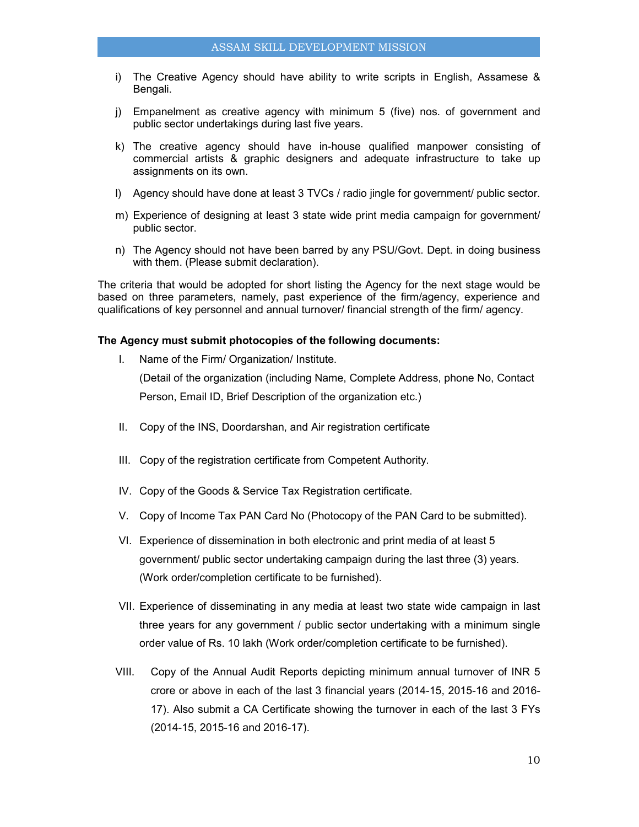- i) The Creative Agency should have ability to write scripts in English, Assamese & Bengali.
- j) Empanelment as creative agency with minimum 5 (five) nos. of government and public sector undertakings during last five years.
- k) The creative agency should have in-house qualified manpower consisting of commercial artists & graphic designers and adequate infrastructure to take up assignments on its own.
- l) Agency should have done at least 3 TVCs / radio jingle for government/ public sector.
- m) Experience of designing at least 3 state wide print media campaign for government/ public sector.
- n) The Agency should not have been barred by any PSU/Govt. Dept. in doing business with them. (Please submit declaration).

The criteria that would be adopted for short listing the Agency for the next stage would be based on three parameters, namely, past experience of the firm/agency, experience and qualifications of key personnel and annual turnover/ financial strength of the firm/ agency.

#### **The Agency must submit photocopies of the following documents:**

I. Name of the Firm/ Organization/ Institute.

(Detail of the organization (including Name, Complete Address, phone No, Contact Person, Email ID, Brief Description of the organization etc.)

- II. Copy of the INS, Doordarshan, and Air registration certificate
- III. Copy of the registration certificate from Competent Authority.
- IV. Copy of the Goods & Service Tax Registration certificate.
- V. Copy of Income Tax PAN Card No (Photocopy of the PAN Card to be submitted).
- VI. Experience of dissemination in both electronic and print media of at least 5 government/ public sector undertaking campaign during the last three (3) years. (Work order/completion certificate to be furnished).
- VII. Experience of disseminating in any media at least two state wide campaign in last three years for any government / public sector undertaking with a minimum single order value of Rs. 10 lakh (Work order/completion certificate to be furnished).
- VIII. Copy of the Annual Audit Reports depicting minimum annual turnover of INR 5 crore or above in each of the last 3 financial years (2014-15, 2015-16 and 2016- 17). Also submit a CA Certificate showing the turnover in each of the last 3 FYs (2014-15, 2015-16 and 2016-17).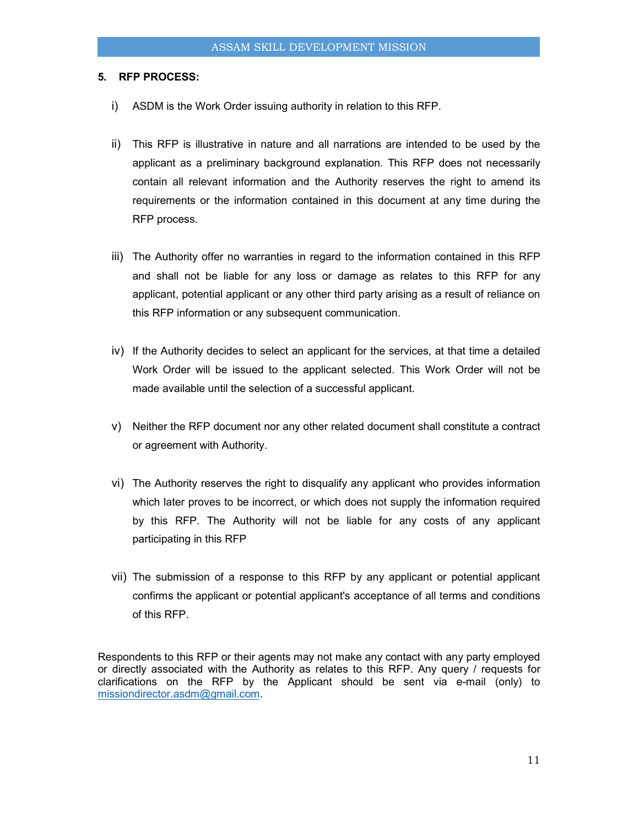## **5. RFP PROCESS:**

- i) ASDM is the Work Order issuing authority in relation to this RFP.
- ii) This RFP is illustrative in nature and all narrations are intended to be used by the applicant as a preliminary background explanation. This RFP does not necessarily contain all relevant information and the Authority reserves the right to amend its requirements or the information contained in this document at any time during the RFP process.
- iii) The Authority offer no warranties in regard to the information contained in this RFP and shall not be liable for any loss or damage as relates to this RFP for any applicant, potential applicant or any other third party arising as a result of reliance on this RFP information or any subsequent communication.
- iv) If the Authority decides to select an applicant for the services, at that time a detailed Work Order will be issued to the applicant selected. This Work Order will not be made available until the selection of a successful applicant.
- v) Neither the RFP document nor any other related document shall constitute a contract or agreement with Authority.
- vi) The Authority reserves the right to disqualify any applicant who provides information which later proves to be incorrect, or which does not supply the information required by this RFP. The Authority will not be liable for any costs of any applicant participating in this RFP
- vii) The submission of a response to this RFP by any applicant or potential applicant confirms the applicant or potential applicant's acceptance of all terms and conditions of this RFP.

Respondents to this RFP or their agents may not make any contact with any party employed or directly associated with the Authority as relates to this RFP. Any query / requests for clarifications on the RFP by the Applicant should be sent via e-mail (only) to missiondirector.asdm@gmail.com.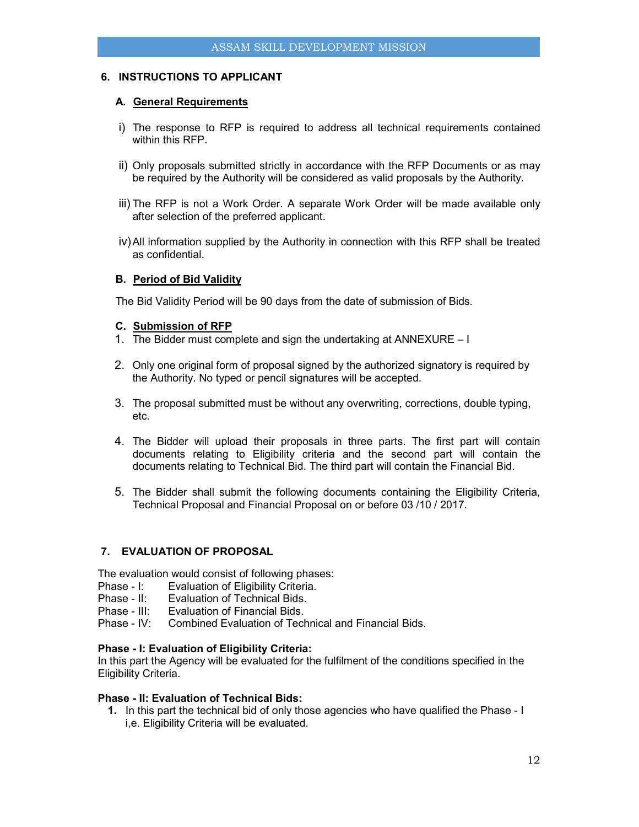## **6. INSTRUCTIONS TO APPLICANT**

## **A. General Requirements**

- i) The response to RFP is required to address all technical requirements contained within this RFP.
- ii) Only proposals submitted strictly in accordance with the RFP Documents or as may be required by the Authority will be considered as valid proposals by the Authority.
- iii) The RFP is not a Work Order. A separate Work Order will be made available only after selection of the preferred applicant.
- iv) All information supplied by the Authority in connection with this RFP shall be treated as confidential.

## **B. Period of Bid Validity**

The Bid Validity Period will be 90 days from the date of submission of Bids.

## **C. Submission of RFP**

- 1. The Bidder must complete and sign the undertaking at ANNEXURE I
- 2. Only one original form of proposal signed by the authorized signatory is required by the Authority. No typed or pencil signatures will be accepted.
- 3. The proposal submitted must be without any overwriting, corrections, double typing, etc.
- 4. The Bidder will upload their proposals in three parts. The first part will contain documents relating to Eligibility criteria and the second part will contain the documents relating to Technical Bid. The third part will contain the Financial Bid.
- 5. The Bidder shall submit the following documents containing the Eligibility Criteria, Technical Proposal and Financial Proposal on or before 03 /10 / 2017.

## **7. EVALUATION OF PROPOSAL**

The evaluation would consist of following phases:

- Phase I: Evaluation of Eligibility Criteria.
- Phase II: Evaluation of Technical Bids.<br>Phase III: Fyaluation of Financial Bids.
- Evaluation of Financial Bids.
- Phase IV: Combined Evaluation of Technical and Financial Bids.

## **Phase - I: Evaluation of Eligibility Criteria:**

In this part the Agency will be evaluated for the fulfilment of the conditions specified in the Eligibility Criteria.

## **Phase - II: Evaluation of Technical Bids:**

**1.** In this part the technical bid of only those agencies who have qualified the Phase - I i,e. Eligibility Criteria will be evaluated.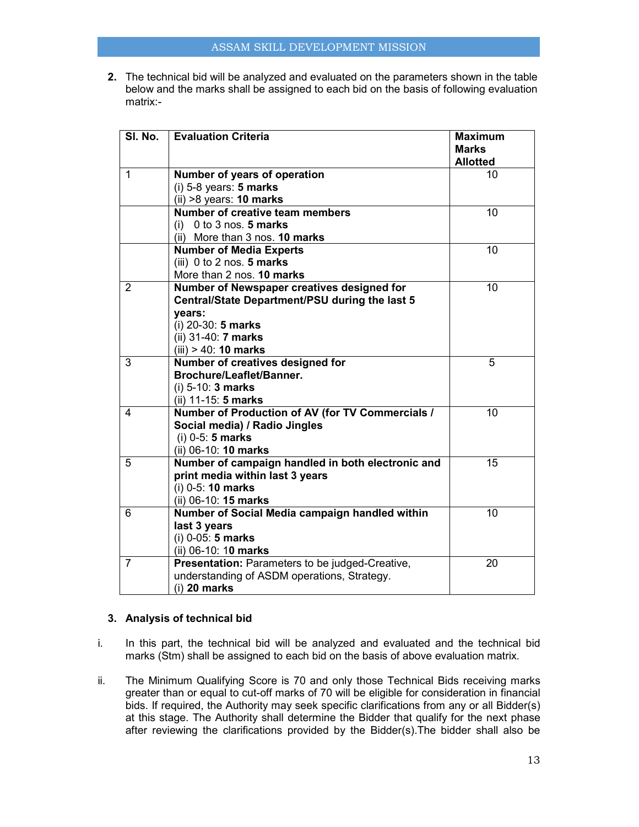**2.** The technical bid will be analyzed and evaluated on the parameters shown in the table below and the marks shall be assigned to each bid on the basis of following evaluation matrix:-

| SI. No.        | <b>Evaluation Criteria</b>                                                                                                                                                     | <b>Maximum</b><br><b>Marks</b><br><b>Allotted</b> |
|----------------|--------------------------------------------------------------------------------------------------------------------------------------------------------------------------------|---------------------------------------------------|
| $\mathbf{1}$   | Number of years of operation<br>$(i)$ 5-8 years: 5 marks<br>$(ii) >8$ years: 10 marks                                                                                          | 10                                                |
|                | <b>Number of creative team members</b><br>0 to 3 nos. 5 marks<br>(i)<br>(ii) More than 3 nos. 10 marks                                                                         | 10                                                |
|                | <b>Number of Media Experts</b><br>(iii) $0$ to $2$ nos. 5 marks<br>More than 2 nos. 10 marks                                                                                   | 10                                                |
| 2              | Number of Newspaper creatives designed for<br>Central/State Department/PSU during the last 5<br>years:<br>(i) 20-30: 5 marks<br>(ii) 31-40: 7 marks<br>$(iii) > 40$ : 10 marks | 10                                                |
| 3              | Number of creatives designed for<br><b>Brochure/Leaflet/Banner.</b><br>$(i)$ 5-10: 3 marks<br>(ii) 11-15: 5 marks                                                              | 5                                                 |
| 4              | Number of Production of AV (for TV Commercials /<br>Social media) / Radio Jingles<br>$(i)$ 0-5: 5 marks<br>(ii) 06-10: 10 marks                                                | 10                                                |
| 5              | Number of campaign handled in both electronic and<br>print media within last 3 years<br>$(i)$ 0-5: 10 marks<br>(ii) 06-10: 15 marks                                            | 15                                                |
| 6              | Number of Social Media campaign handled within<br>last 3 years<br>$(i)$ 0-05: 5 marks<br>(ii) 06-10: 10 marks                                                                  | 10                                                |
| $\overline{7}$ | Presentation: Parameters to be judged-Creative,<br>understanding of ASDM operations, Strategy.<br>$(i)$ 20 marks                                                               | 20                                                |

## **3. Analysis of technical bid**

- i. In this part, the technical bid will be analyzed and evaluated and the technical bid marks (Stm) shall be assigned to each bid on the basis of above evaluation matrix.
- ii. The Minimum Qualifying Score is 70 and only those Technical Bids receiving marks greater than or equal to cut-off marks of 70 will be eligible for consideration in financial bids. If required, the Authority may seek specific clarifications from any or all Bidder(s) at this stage. The Authority shall determine the Bidder that qualify for the next phase after reviewing the clarifications provided by the Bidder(s).The bidder shall also be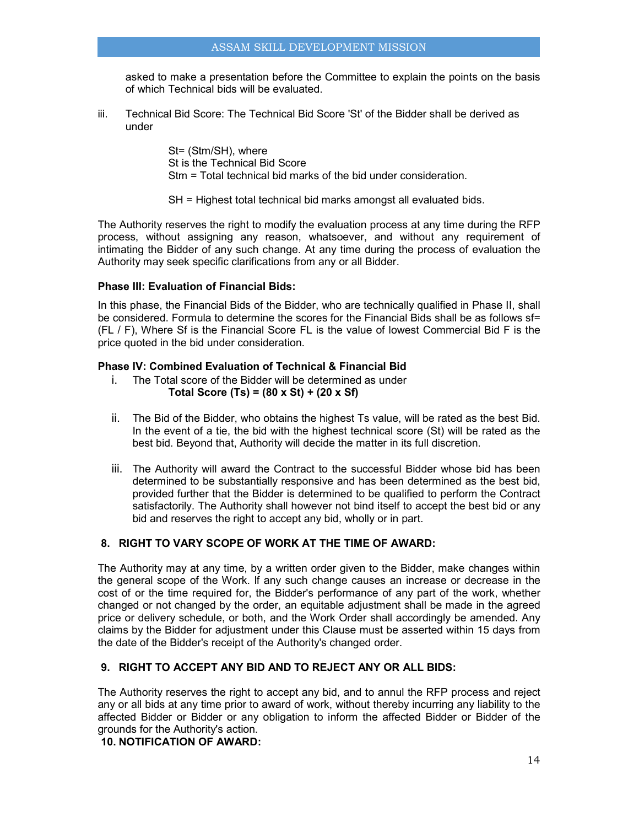asked to make a presentation before the Committee to explain the points on the basis of which Technical bids will be evaluated.

iii. Technical Bid Score: The Technical Bid Score 'St' of the Bidder shall be derived as under

> St= (Stm/SH), where St is the Technical Bid Score Stm = Total technical bid marks of the bid under consideration.

SH = Highest total technical bid marks amongst all evaluated bids.

The Authority reserves the right to modify the evaluation process at any time during the RFP process, without assigning any reason, whatsoever, and without any requirement of intimating the Bidder of any such change. At any time during the process of evaluation the Authority may seek specific clarifications from any or all Bidder.

## **Phase III: Evaluation of Financial Bids:**

In this phase, the Financial Bids of the Bidder, who are technically qualified in Phase II, shall be considered. Formula to determine the scores for the Financial Bids shall be as follows sf= (FL / F), Where Sf is the Financial Score FL is the value of lowest Commercial Bid F is the price quoted in the bid under consideration.

#### **Phase lV: Combined Evaluation of Technical & Financial Bid**

- i. The Total score of the Bidder will be determined as under **Total Score (Ts) = (80 x St) + (20 x Sf)**
- ii. The Bid of the Bidder, who obtains the highest Ts value, will be rated as the best Bid. In the event of a tie, the bid with the highest technical score (St) will be rated as the best bid. Beyond that, Authority will decide the matter in its full discretion.
- iii. The Authority will award the Contract to the successful Bidder whose bid has been determined to be substantially responsive and has been determined as the best bid, provided further that the Bidder is determined to be qualified to perform the Contract satisfactorily. The Authority shall however not bind itself to accept the best bid or any bid and reserves the right to accept any bid, wholly or in part.

## **8. RIGHT TO VARY SCOPE OF WORK AT THE TIME OF AWARD:**

The Authority may at any time, by a written order given to the Bidder, make changes within the general scope of the Work. lf any such change causes an increase or decrease in the cost of or the time required for, the Bidder's performance of any part of the work, whether changed or not changed by the order, an equitable adjustment shall be made in the agreed price or delivery schedule, or both, and the Work Order shall accordingly be amended. Any claims by the Bidder for adjustment under this Clause must be asserted within 15 days from the date of the Bidder's receipt of the Authority's changed order.

## **9. RIGHT TO ACCEPT ANY BID AND TO REJECT ANY OR ALL BIDS:**

The Authority reserves the right to accept any bid, and to annul the RFP process and reject any or all bids at any time prior to award of work, without thereby incurring any liability to the affected Bidder or Bidder or any obligation to inform the affected Bidder or Bidder of the grounds for the Authority's action.

**10. NOTIFICATION OF AWARD:**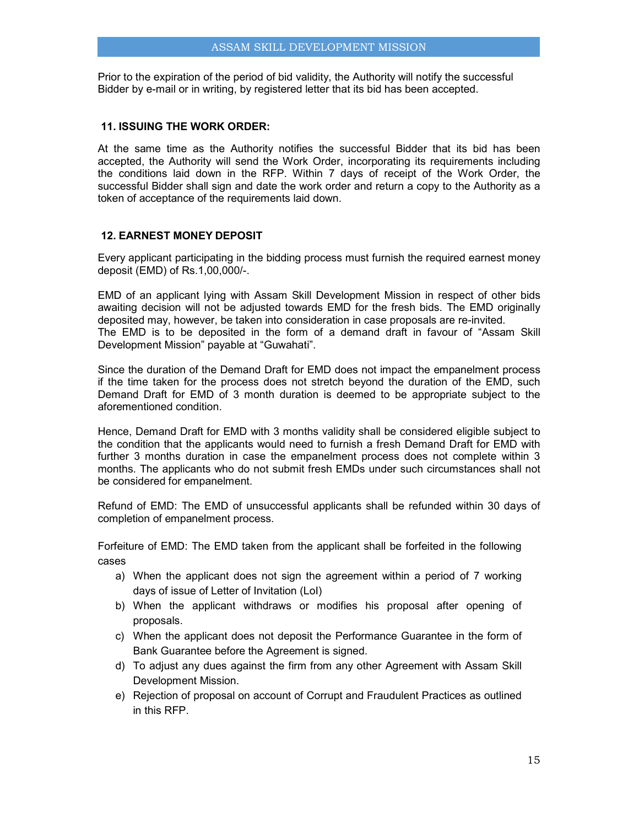Prior to the expiration of the period of bid validity, the Authority will notify the successful Bidder by e-mail or in writing, by registered letter that its bid has been accepted.

## **11. ISSUING THE WORK ORDER:**

At the same time as the Authority notifies the successful Bidder that its bid has been accepted, the Authority will send the Work Order, incorporating its requirements including the conditions laid down in the RFP. Within 7 days of receipt of the Work Order, the successful Bidder shall sign and date the work order and return a copy to the Authority as a token of acceptance of the requirements laid down.

## **12. EARNEST MONEY DEPOSIT**

Every applicant participating in the bidding process must furnish the required earnest money deposit (EMD) of Rs.1,00,000/-.

EMD of an applicant lying with Assam Skill Development Mission in respect of other bids awaiting decision will not be adjusted towards EMD for the fresh bids. The EMD originally deposited may, however, be taken into consideration in case proposals are re-invited. The EMD is to be deposited in the form of a demand draft in favour of "Assam Skill Development Mission" payable at "Guwahati".

Since the duration of the Demand Draft for EMD does not impact the empanelment process if the time taken for the process does not stretch beyond the duration of the EMD, such Demand Draft for EMD of 3 month duration is deemed to be appropriate subject to the aforementioned condition.

Hence, Demand Draft for EMD with 3 months validity shall be considered eligible subject to the condition that the applicants would need to furnish a fresh Demand Draft for EMD with further 3 months duration in case the empanelment process does not complete within 3 months. The applicants who do not submit fresh EMDs under such circumstances shall not be considered for empanelment.

Refund of EMD: The EMD of unsuccessful applicants shall be refunded within 30 days of completion of empanelment process.

Forfeiture of EMD: The EMD taken from the applicant shall be forfeited in the following cases

- a) When the applicant does not sign the agreement within a period of 7 working days of issue of Letter of Invitation (LoI)
- b) When the applicant withdraws or modifies his proposal after opening of proposals.
- c) When the applicant does not deposit the Performance Guarantee in the form of Bank Guarantee before the Agreement is signed.
- d) To adjust any dues against the firm from any other Agreement with Assam Skill Development Mission.
- e) Rejection of proposal on account of Corrupt and Fraudulent Practices as outlined in this RFP.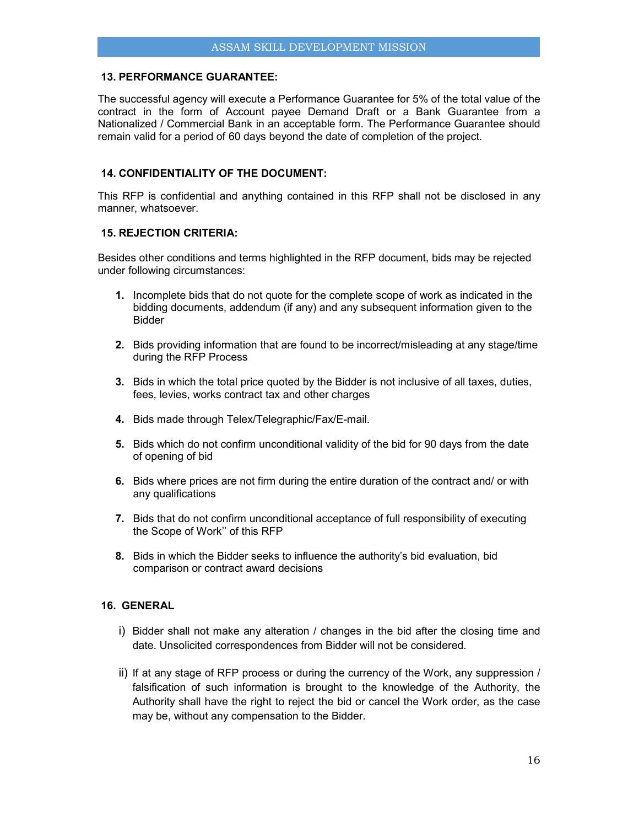## **13. PERFORMANCE GUARANTEE:**

The successful agency will execute a Performance Guarantee for 5% of the total value of the contract in the form of Account payee Demand Draft or a Bank Guarantee from a Nationalized / Commercial Bank in an acceptable form. The Performance Guarantee should remain valid for a period of 60 days beyond the date of completion of the project.

## **14. CONFIDENTIALITY OF THE DOCUMENT:**

This RFP is confidential and anything contained in this RFP shall not be disclosed in any manner, whatsoever.

#### **15. REJECTION CRITERIA:**

Besides other conditions and terms highlighted in the RFP document, bids may be rejected under following circumstances:

- **1.** Incomplete bids that do not quote for the complete scope of work as indicated in the bidding documents, addendum (if any) and any subsequent information given to the Bidder
- **2.** Bids providing information that are found to be incorrect/misleading at any stage/time during the RFP Process
- **3.** Bids in which the total price quoted by the Bidder is not inclusive of all taxes, duties, fees, levies, works contract tax and other charges
- **4.** Bids made through Telex/Telegraphic/Fax/E-mail.
- **5.** Bids which do not confirm unconditional validity of the bid for 90 days from the date of opening of bid
- **6.** Bids where prices are not firm during the entire duration of the contract and/ or with any qualifications
- **7.** Bids that do not confirm unconditional acceptance of full responsibility of executing the Scope of Work'' of this RFP
- **8.** Bids in which the Bidder seeks to influence the authority's bid evaluation, bid comparison or contract award decisions

## **16. GENERAL**

- i) Bidder shall not make any alteration / changes in the bid after the closing time and date. Unsolicited correspondences from Bidder will not be considered.
- ii) If at any stage of RFP process or during the currency of the Work, any suppression / falsification of such information is brought to the knowledge of the Authority, the Authority shall have the right to reject the bid or cancel the Work order, as the case may be, without any compensation to the Bidder.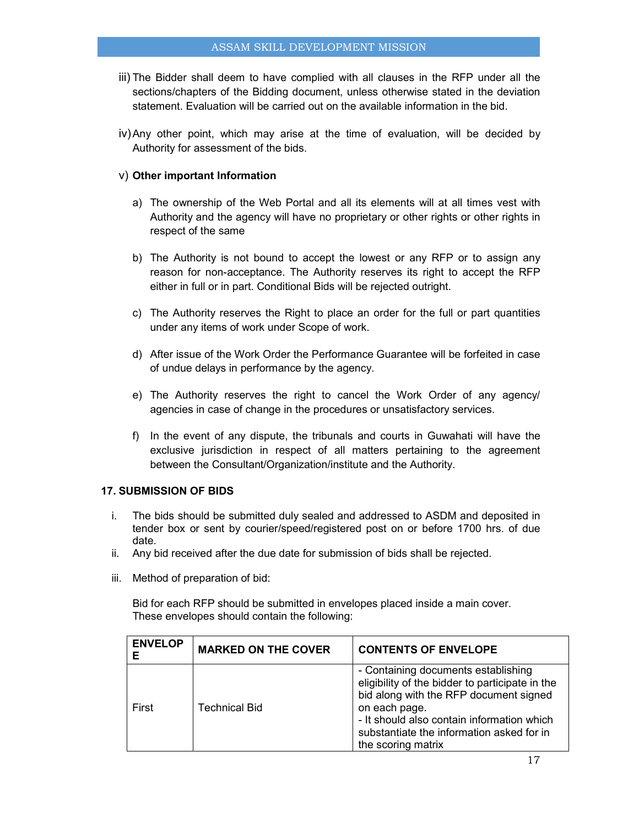- iii) The Bidder shall deem to have complied with all clauses in the RFP under all the sections/chapters of the Bidding document, unless otherwise stated in the deviation statement. Evaluation will be carried out on the available information in the bid.
- iv) Any other point, which may arise at the time of evaluation, will be decided by Authority for assessment of the bids.

## v) **Other important Information**

- a) The ownership of the Web Portal and all its elements will at all times vest with Authority and the agency will have no proprietary or other rights or other rights in respect of the same
- b) The Authority is not bound to accept the lowest or any RFP or to assign any reason for non-acceptance. The Authority reserves its right to accept the RFP either in full or in part. Conditional Bids will be rejected outright.
- c) The Authority reserves the Right to place an order for the full or part quantities under any items of work under Scope of work.
- d) After issue of the Work Order the Performance Guarantee will be forfeited in case of undue delays in performance by the agency.
- e) The Authority reserves the right to cancel the Work Order of any agency/ agencies in case of change in the procedures or unsatisfactory services.
- f) In the event of any dispute, the tribunals and courts in Guwahati will have the exclusive jurisdiction in respect of all matters pertaining to the agreement between the Consultant/Organization/institute and the Authority.

## **17. SUBMISSION OF BIDS**

- i. The bids should be submitted duly sealed and addressed to ASDM and deposited in tender box or sent by courier/speed/registered post on or before 1700 hrs. of due date.
- ii. Any bid received after the due date for submission of bids shall be rejected.
- iii. Method of preparation of bid:

Bid for each RFP should be submitted in envelopes placed inside a main cover. These envelopes should contain the following:

| <b>ENVELOP</b><br>Е | <b>MARKED ON THE COVER</b> | <b>CONTENTS OF ENVELOPE</b>                                                                                                                                                                                                                                        |
|---------------------|----------------------------|--------------------------------------------------------------------------------------------------------------------------------------------------------------------------------------------------------------------------------------------------------------------|
| First               | <b>Technical Bid</b>       | - Containing documents establishing<br>eligibility of the bidder to participate in the<br>bid along with the RFP document signed<br>on each page.<br>- It should also contain information which<br>substantiate the information asked for in<br>the scoring matrix |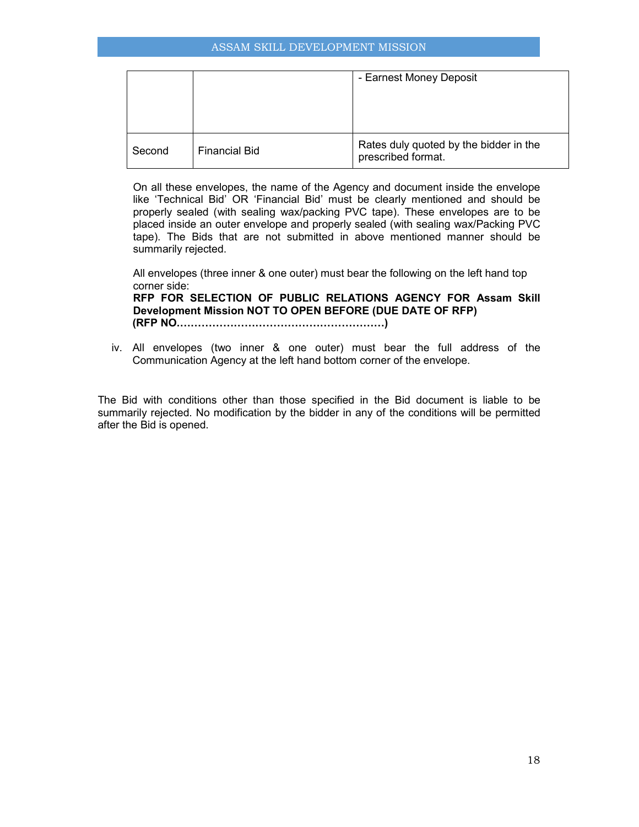|        |                      | - Earnest Money Deposit                                      |
|--------|----------------------|--------------------------------------------------------------|
| Second | <b>Financial Bid</b> | Rates duly quoted by the bidder in the<br>prescribed format. |

On all these envelopes, the name of the Agency and document inside the envelope like 'Technical Bid' OR 'Financial Bid' must be clearly mentioned and should be properly sealed (with sealing wax/packing PVC tape). These envelopes are to be placed inside an outer envelope and properly sealed (with sealing wax/Packing PVC tape). The Bids that are not submitted in above mentioned manner should be summarily rejected.

All envelopes (three inner & one outer) must bear the following on the left hand top corner side: **RFP FOR SELECTION OF PUBLIC RELATIONS AGENCY FOR Assam Skill Development Mission NOT TO OPEN BEFORE (DUE DATE OF RFP) (RFP NO.HHHHHHHHHHHHHHHHHHH)** 

iv. All envelopes (two inner & one outer) must bear the full address of the Communication Agency at the left hand bottom corner of the envelope.

The Bid with conditions other than those specified in the Bid document is liable to be summarily rejected. No modification by the bidder in any of the conditions will be permitted after the Bid is opened.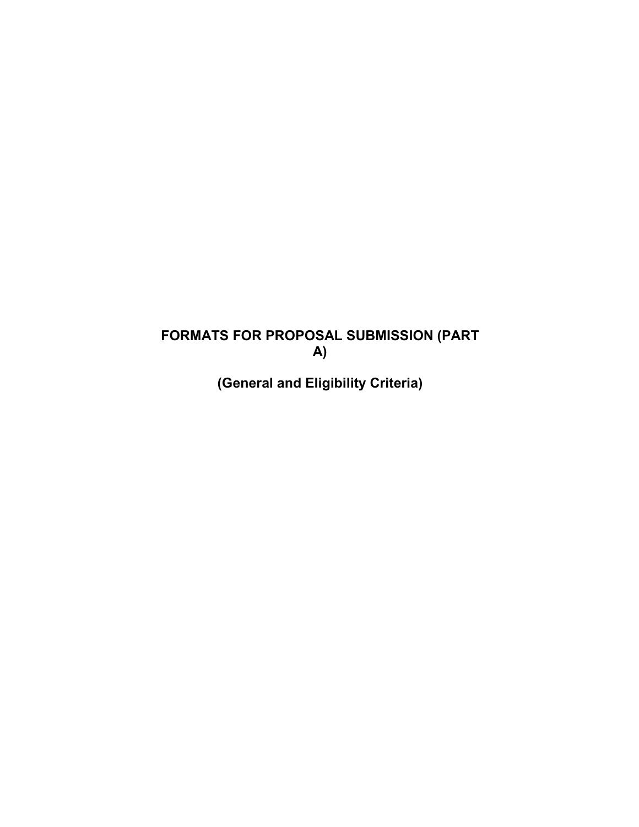# **FORMATS FOR PROPOSAL SUBMISSION (PART A)**

**(General and Eligibility Criteria)**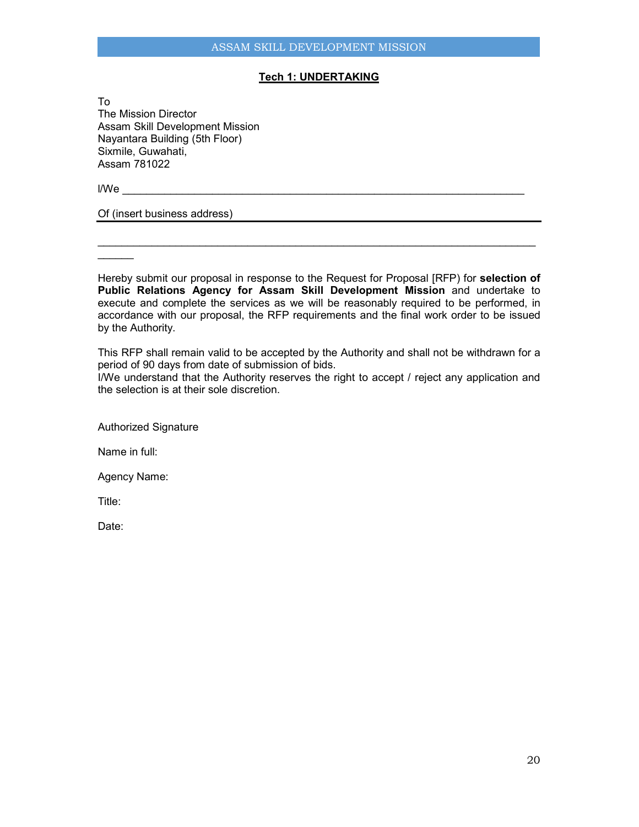## **Tech 1: UNDERTAKING**

To The Mission Director Assam Skill Development Mission Nayantara Building (5th Floor) Sixmile, Guwahati, Assam 781022

l/We \_\_\_\_\_\_\_\_\_\_\_\_\_\_\_\_\_\_\_\_\_\_\_\_\_\_\_\_\_\_\_\_\_\_\_\_\_\_\_\_\_\_\_\_\_\_\_\_\_\_\_\_\_\_\_\_\_\_\_\_\_\_\_\_\_\_\_

Of (insert business address)

 $\overline{\phantom{a}}$ 

Hereby submit our proposal in response to the Request for Proposal [RFP) for **selection of Public Relations Agency for Assam Skill Development Mission** and undertake to execute and complete the services as we will be reasonably required to be performed, in accordance with our proposal, the RFP requirements and the final work order to be issued by the Authority.

\_\_\_\_\_\_\_\_\_\_\_\_\_\_\_\_\_\_\_\_\_\_\_\_\_\_\_\_\_\_\_\_\_\_\_\_\_\_\_\_\_\_\_\_\_\_\_\_\_\_\_\_\_\_\_\_\_\_\_\_\_\_\_\_\_\_\_\_\_\_\_\_\_

This RFP shall remain valid to be accepted by the Authority and shall not be withdrawn for a period of 90 days from date of submission of bids.

I/We understand that the Authority reserves the right to accept / reject any application and the selection is at their sole discretion.

Authorized Signature

Name in full:

Agency Name:

Title:

Date: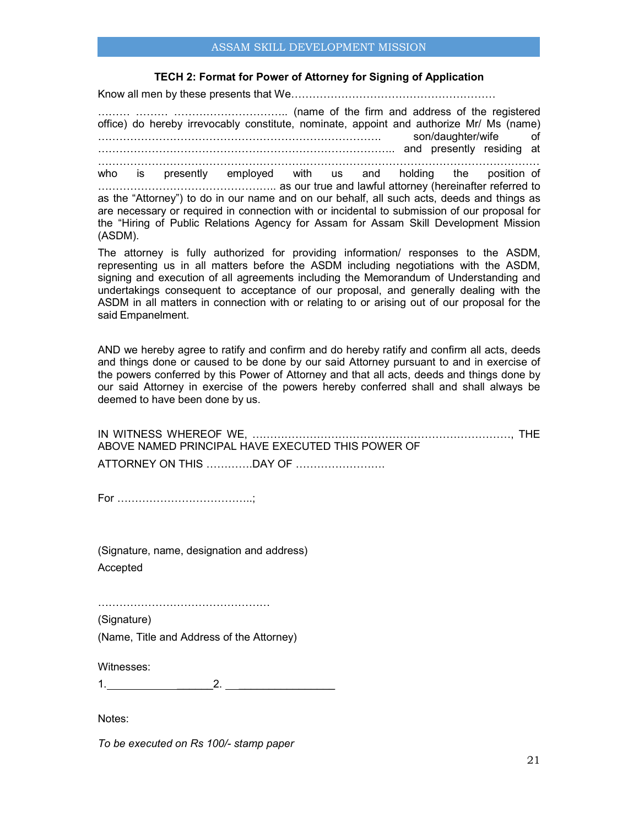## ASSAM SKILL DEVELOPMENT MISSION

#### **TECH 2: Format for Power of Attorney for Signing of Application**

Know all men by these presents that WeUUUUUUUUUUUUUUUUUUU

UUU UUU UUUUUUUUUU.. (name of the firm and address of the registered office) do hereby irrevocably constitute, nominate, appoint and authorize Mr/ Ms (name) UUUUUUUUUUUUUUUUUUUUUUUUUU. son/daughter/wife of UUUUUUUUUUUUUUUUUUUUUUUUUUU.. and presently residing at UUUUUUUUUUUUUUUUUUUUUUUUUUUUUUUUUUUUUUUUU

who is presently employed with us and holding the position of UUUU UUU As our true and lawful attorney (hereinafter referred to as the "Attorney") to do in our name and on our behalf, all such acts, deeds and things as are necessary or required in connection with or incidental to submission of our proposal for the "Hiring of Public Relations Agency for Assam for Assam Skill Development Mission (ASDM).

The attorney is fully authorized for providing information/ responses to the ASDM, representing us in all matters before the ASDM including negotiations with the ASDM, signing and execution of all agreements including the Memorandum of Understanding and undertakings consequent to acceptance of our proposal, and generally dealing with the ASDM in all matters in connection with or relating to or arising out of our proposal for the said Empanelment.

AND we hereby agree to ratify and confirm and do hereby ratify and confirm all acts, deeds and things done or caused to be done by our said Attorney pursuant to and in exercise of the powers conferred by this Power of Attorney and that all acts, deeds and things done by our said Attorney in exercise of the powers hereby conferred shall and shall always be deemed to have been done by us.

| ABOVE NAMED PRINCIPAL HAVE EXECUTED THIS POWER OF |  |
|---------------------------------------------------|--|
|                                                   |  |

For UUUUUUUUUUUU..;

(Signature, name, designation and address) Accepted

UUUUUUUUUUUUUUUU

(Signature) (Name, Title and Address of the Attorney)

Witnesses:

1. \_\_\_\_\_\_2. \_\_\_\_\_\_\_\_\_\_\_\_\_\_\_\_

Notes:

*To be executed on Rs 100/- stamp paper*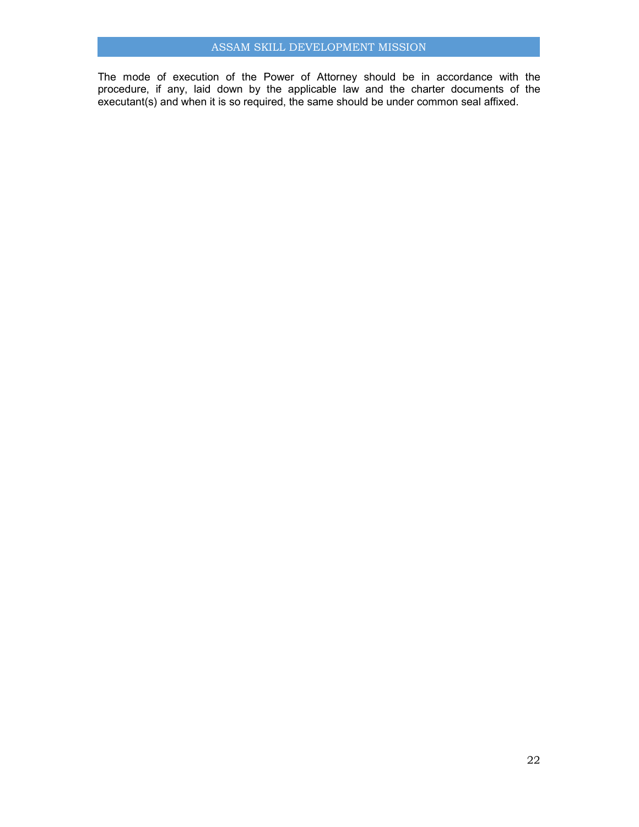The mode of execution of the Power of Attorney should be in accordance with the procedure, if any, laid down by the applicable law and the charter documents of the executant(s) and when it is so required, the same should be under common seal affixed.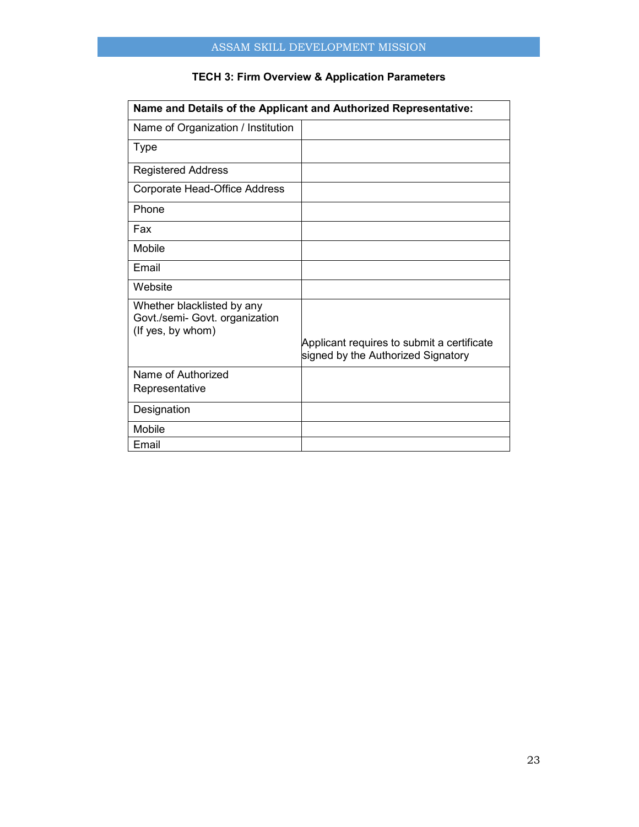|                                                                                   | Name and Details of the Applicant and Authorized Representative:                 |
|-----------------------------------------------------------------------------------|----------------------------------------------------------------------------------|
| Name of Organization / Institution                                                |                                                                                  |
| Type                                                                              |                                                                                  |
| <b>Registered Address</b>                                                         |                                                                                  |
| Corporate Head-Office Address                                                     |                                                                                  |
| Phone                                                                             |                                                                                  |
| Fax                                                                               |                                                                                  |
| Mobile                                                                            |                                                                                  |
| Email                                                                             |                                                                                  |
| Website                                                                           |                                                                                  |
| Whether blacklisted by any<br>Govt./semi- Govt. organization<br>(If yes, by whom) |                                                                                  |
|                                                                                   | Applicant requires to submit a certificate<br>signed by the Authorized Signatory |
| Name of Authorized                                                                |                                                                                  |
| Representative                                                                    |                                                                                  |
| Designation                                                                       |                                                                                  |
| Mobile                                                                            |                                                                                  |
| Email                                                                             |                                                                                  |

## **TECH 3: Firm Overview & Application Parameters**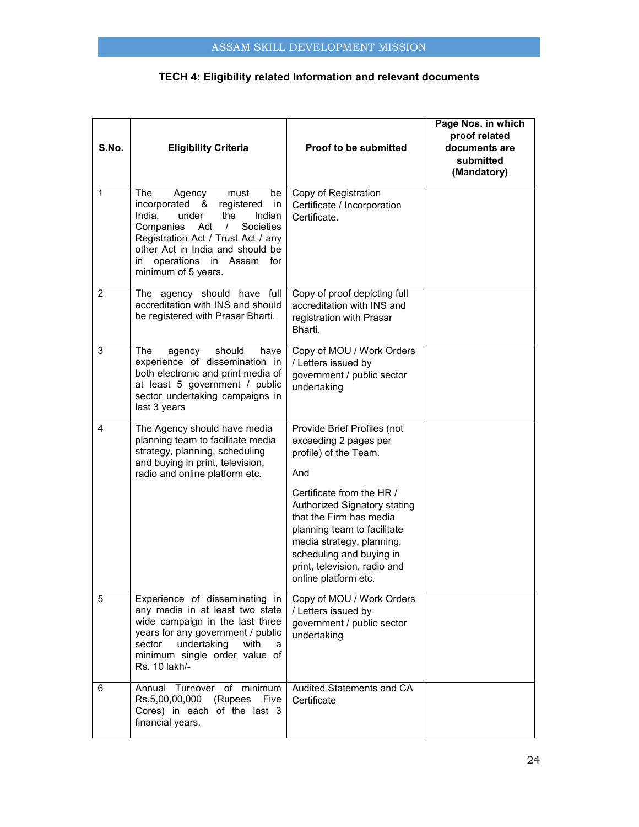| S.No.          | <b>Eligibility Criteria</b>                                                                                                                                                                                                                                                         | <b>Proof to be submitted</b>                                                                                                                                                                            | Page Nos. in which<br>proof related<br>documents are<br>submitted<br>(Mandatory) |
|----------------|-------------------------------------------------------------------------------------------------------------------------------------------------------------------------------------------------------------------------------------------------------------------------------------|---------------------------------------------------------------------------------------------------------------------------------------------------------------------------------------------------------|----------------------------------------------------------------------------------|
| 1              | The<br>Agency<br>must<br>be<br>incorporated &<br>registered<br>in<br>India,<br>the<br>under<br>Indian<br>Companies<br>Societies<br>Act<br>$\sqrt{2}$<br>Registration Act / Trust Act / any<br>other Act in India and should be<br>in operations in Assam for<br>minimum of 5 years. | Copy of Registration<br>Certificate / Incorporation<br>Certificate.                                                                                                                                     |                                                                                  |
| $\overline{2}$ | The agency should have full<br>accreditation with INS and should<br>be registered with Prasar Bharti.                                                                                                                                                                               | Copy of proof depicting full<br>accreditation with INS and<br>registration with Prasar<br>Bharti.                                                                                                       |                                                                                  |
| 3              | The<br>agency<br>should<br>have<br>experience of dissemination in<br>both electronic and print media of<br>at least 5 government / public<br>sector undertaking campaigns in<br>last 3 years                                                                                        | Copy of MOU / Work Orders<br>/ Letters issued by<br>government / public sector<br>undertaking                                                                                                           |                                                                                  |
| 4              | The Agency should have media<br>planning team to facilitate media<br>strategy, planning, scheduling<br>and buying in print, television,<br>radio and online platform etc.                                                                                                           | Provide Brief Profiles (not<br>exceeding 2 pages per<br>profile) of the Team.<br>And<br>Certificate from the HR /                                                                                       |                                                                                  |
|                |                                                                                                                                                                                                                                                                                     | Authorized Signatory stating<br>that the Firm has media<br>planning team to facilitate<br>media strategy, planning,<br>scheduling and buying in<br>print, television, radio and<br>online platform etc. |                                                                                  |
| 5              | Experience of disseminating in<br>any media in at least two state<br>wide campaign in the last three<br>years for any government / public<br>sector<br>undertaking<br>with<br>a<br>minimum single order value of<br>Rs. 10 lakh/-                                                   | Copy of MOU / Work Orders<br>/ Letters issued by<br>government / public sector<br>undertaking                                                                                                           |                                                                                  |
| 6              | Annual Turnover of minimum<br>Rs.5,00,00,000 (Rupees Five<br>Cores) in each of the last 3<br>financial years.                                                                                                                                                                       | Audited Statements and CA<br>Certificate                                                                                                                                                                |                                                                                  |

## **TECH 4: Eligibility related Information and relevant documents**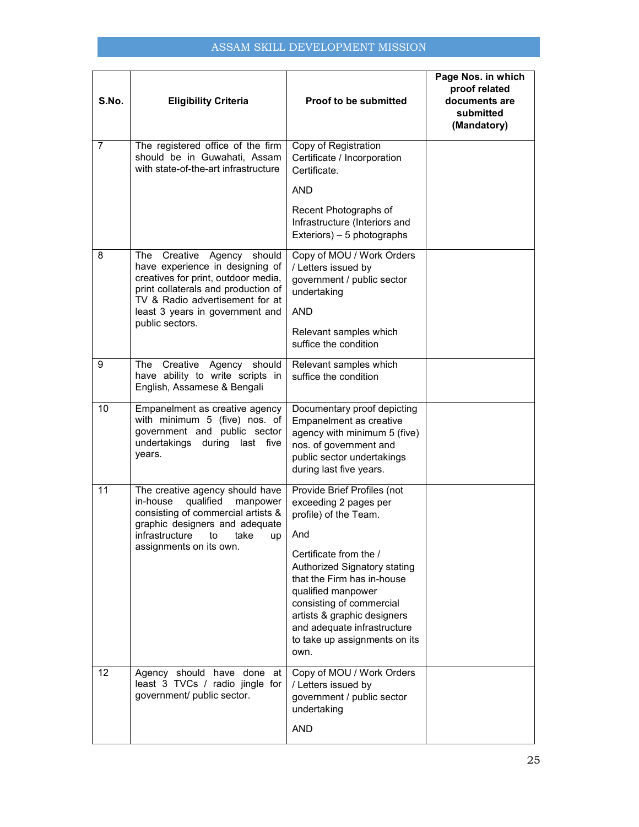## ASSAM SKILL DEVELOPMENT MISSION

| S.No.          | <b>Eligibility Criteria</b>                                                                                                                                                                                                             | <b>Proof to be submitted</b>                                                                                                                                                                                                                                                                                                          | Page Nos. in which<br>proof related<br>documents are<br>submitted<br>(Mandatory) |
|----------------|-----------------------------------------------------------------------------------------------------------------------------------------------------------------------------------------------------------------------------------------|---------------------------------------------------------------------------------------------------------------------------------------------------------------------------------------------------------------------------------------------------------------------------------------------------------------------------------------|----------------------------------------------------------------------------------|
| $\overline{7}$ | The registered office of the firm<br>should be in Guwahati, Assam<br>with state-of-the-art infrastructure                                                                                                                               | Copy of Registration<br>Certificate / Incorporation<br>Certificate.                                                                                                                                                                                                                                                                   |                                                                                  |
|                |                                                                                                                                                                                                                                         | <b>AND</b><br>Recent Photographs of<br>Infrastructure (Interiors and<br>Exteriors) - 5 photographs                                                                                                                                                                                                                                    |                                                                                  |
| 8              | The Creative<br>Agency should<br>have experience in designing of<br>creatives for print, outdoor media,<br>print collaterals and production of<br>TV & Radio advertisement for at<br>least 3 years in government and<br>public sectors. | Copy of MOU / Work Orders<br>/ Letters issued by<br>government / public sector<br>undertaking<br><b>AND</b><br>Relevant samples which<br>suffice the condition                                                                                                                                                                        |                                                                                  |
| 9              | Creative Agency should<br>The<br>have ability to write scripts in<br>English, Assamese & Bengali                                                                                                                                        | Relevant samples which<br>suffice the condition                                                                                                                                                                                                                                                                                       |                                                                                  |
| 10             | Empanelment as creative agency<br>with minimum 5 (five) nos. of<br>government and public sector<br>undertakings during last five<br>years.                                                                                              | Documentary proof depicting<br>Empanelment as creative<br>agency with minimum 5 (five)<br>nos. of government and<br>public sector undertakings<br>during last five years.                                                                                                                                                             |                                                                                  |
| 11             | The creative agency should have<br>qualified<br>in-house<br>manpower<br>consisting of commercial artists &<br>graphic designers and adequate<br>infrastructure to take up<br>assignments on its own.                                    | Provide Brief Profiles (not<br>exceeding 2 pages per<br>profile) of the Team.<br>And<br>Certificate from the /<br>Authorized Signatory stating<br>that the Firm has in-house<br>qualified manpower<br>consisting of commercial<br>artists & graphic designers<br>and adequate infrastructure<br>to take up assignments on its<br>own. |                                                                                  |
| 12             | Agency should have done at<br>least 3 TVCs / radio jingle for<br>government/ public sector.                                                                                                                                             | Copy of MOU / Work Orders<br>/ Letters issued by<br>government / public sector<br>undertaking<br><b>AND</b>                                                                                                                                                                                                                           |                                                                                  |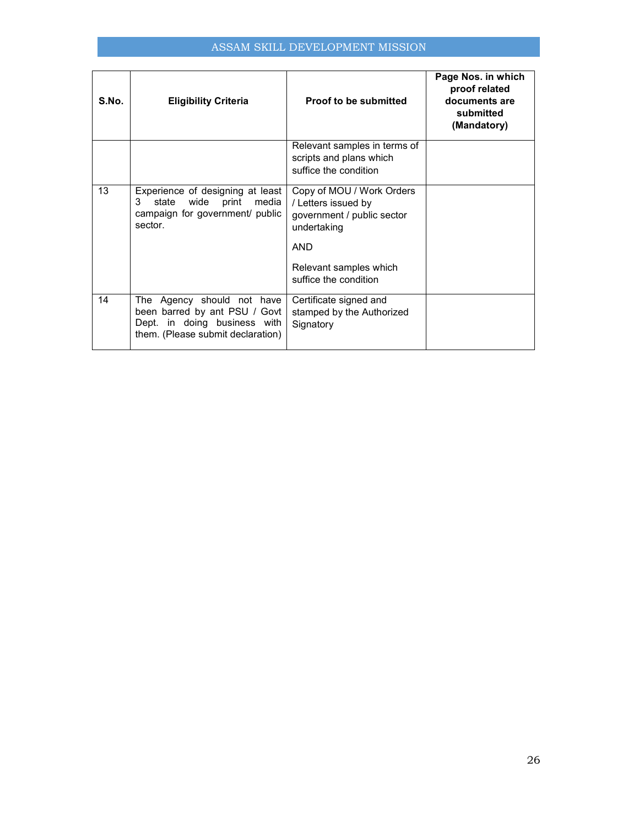## ASSAM SKILL DEVELOPMENT MISSION

| S.No. | <b>Eligibility Criteria</b>                                                                                                      | Proof to be submitted                                                                                                                                          | Page Nos. in which<br>proof related<br>documents are<br>submitted<br>(Mandatory) |
|-------|----------------------------------------------------------------------------------------------------------------------------------|----------------------------------------------------------------------------------------------------------------------------------------------------------------|----------------------------------------------------------------------------------|
|       |                                                                                                                                  | Relevant samples in terms of<br>scripts and plans which<br>suffice the condition                                                                               |                                                                                  |
| 13    | Experience of designing at least<br>state wide print<br>media<br>3<br>campaign for government/ public<br>sector.                 | Copy of MOU / Work Orders<br>/ Letters issued by<br>government / public sector<br>undertaking<br><b>AND</b><br>Relevant samples which<br>suffice the condition |                                                                                  |
| 14    | The Agency should not have<br>been barred by ant PSU / Govt<br>Dept. in doing business with<br>them. (Please submit declaration) | Certificate signed and<br>stamped by the Authorized<br>Signatory                                                                                               |                                                                                  |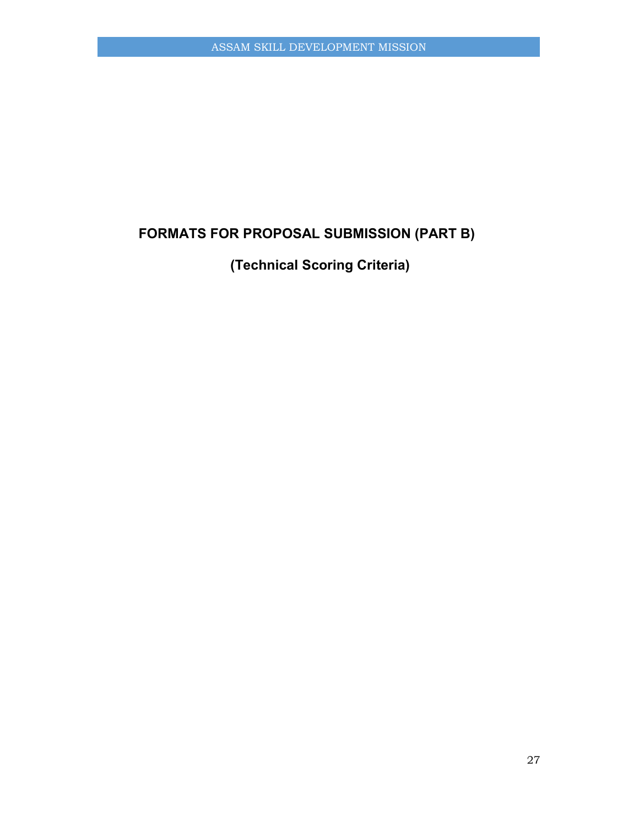# **FORMATS FOR PROPOSAL SUBMISSION (PART B)**

**(Technical Scoring Criteria)**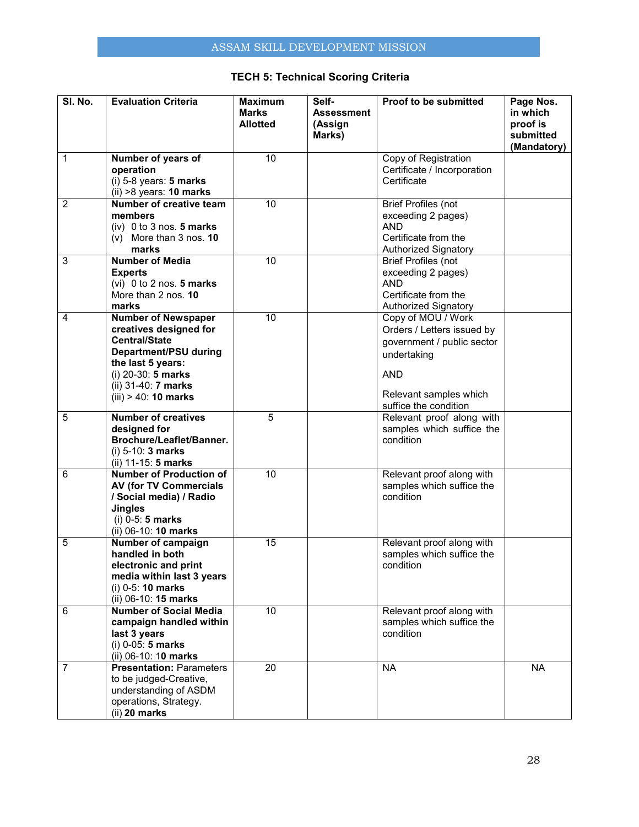## **TECH 5: Technical Scoring Criteria**

| SI. No.        | <b>Evaluation Criteria</b>                                                                                                                                                                         | <b>Maximum</b><br><b>Marks</b><br><b>Allotted</b> | Self-<br><b>Assessment</b><br>(Assign<br>Marks) | Proof to be submitted                                                                                                                                          | Page Nos.<br>in which<br>proof is<br>submitted<br>(Mandatory) |
|----------------|----------------------------------------------------------------------------------------------------------------------------------------------------------------------------------------------------|---------------------------------------------------|-------------------------------------------------|----------------------------------------------------------------------------------------------------------------------------------------------------------------|---------------------------------------------------------------|
| 1              | Number of years of<br>operation<br>$(i)$ 5-8 years: 5 marks                                                                                                                                        | $\overline{10}$                                   |                                                 | Copy of Registration<br>Certificate / Incorporation<br>Certificate                                                                                             |                                                               |
| $\overline{2}$ | $(ii) >8$ years: 10 marks<br>Number of creative team<br>members<br>$(iv)$ 0 to 3 nos. 5 marks<br>$(v)$ More than 3 nos. 10<br>marks                                                                | $\overline{10}$                                   |                                                 | <b>Brief Profiles (not</b><br>exceeding 2 pages)<br><b>AND</b><br>Certificate from the                                                                         |                                                               |
| $\overline{3}$ | <b>Number of Media</b><br><b>Experts</b><br>(vi) $0$ to $2$ nos. 5 marks<br>More than 2 nos. 10<br>marks                                                                                           | 10                                                |                                                 | <b>Authorized Signatory</b><br><b>Brief Profiles (not</b><br>exceeding 2 pages)<br><b>AND</b><br>Certificate from the<br><b>Authorized Signatory</b>           |                                                               |
| 4              | <b>Number of Newspaper</b><br>creatives designed for<br><b>Central/State</b><br>Department/PSU during<br>the last 5 years:<br>(i) 20-30: 5 marks<br>(ii) 31-40: 7 marks<br>$(iii) > 40$ : 10 marks | $\overline{10}$                                   |                                                 | Copy of MOU / Work<br>Orders / Letters issued by<br>government / public sector<br>undertaking<br><b>AND</b><br>Relevant samples which<br>suffice the condition |                                                               |
| 5              | <b>Number of creatives</b><br>designed for<br>Brochure/Leaflet/Banner.<br>$(i)$ 5-10: 3 marks<br>(ii) 11-15: 5 marks                                                                               | 5                                                 |                                                 | Relevant proof along with<br>samples which suffice the<br>condition                                                                                            |                                                               |
| 6              | <b>Number of Production of</b><br><b>AV (for TV Commercials</b><br>/ Social media) / Radio<br><b>Jingles</b><br>$(i)$ 0-5: 5 marks<br>(ii) 06-10: 10 marks                                         | $\overline{10}$                                   |                                                 | Relevant proof along with<br>samples which suffice the<br>condition                                                                                            |                                                               |
| 5              | Number of campaign<br>handled in both<br>electronic and print<br>media within last 3 years<br>$(i)$ 0-5: 10 marks<br>(ii) 06-10: 15 marks                                                          | 15                                                |                                                 | Relevant proof along with<br>samples which suffice the<br>condition                                                                                            |                                                               |
| 6              | <b>Number of Social Media</b><br>campaign handled within<br>last 3 years<br>$(i)$ 0-05: 5 marks<br>(ii) 06-10: 10 marks                                                                            | 10                                                |                                                 | Relevant proof along with<br>samples which suffice the<br>condition                                                                                            |                                                               |
| $\overline{7}$ | <b>Presentation: Parameters</b><br>to be judged-Creative,<br>understanding of ASDM<br>operations, Strategy.<br>$(ii)$ 20 marks                                                                     | $\overline{20}$                                   |                                                 | <b>NA</b>                                                                                                                                                      | <b>NA</b>                                                     |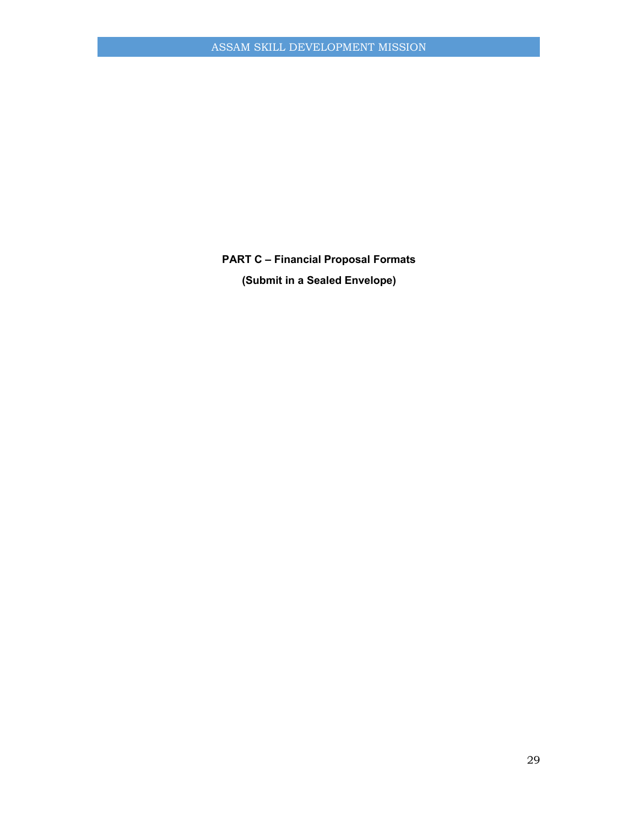**PART C – Financial Proposal Formats (Submit in a Sealed Envelope)**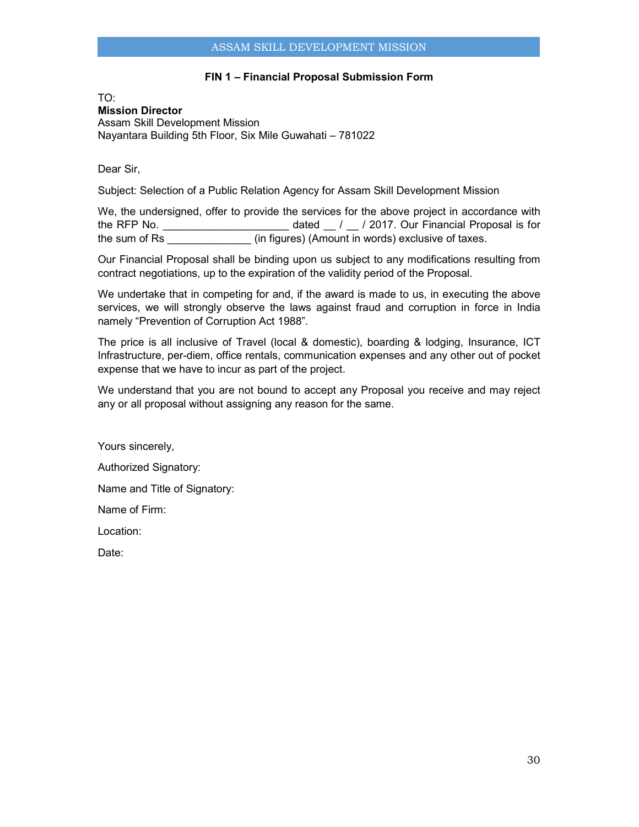## **FIN 1 – Financial Proposal Submission Form**

TO: **Mission Director**  Assam Skill Development Mission Nayantara Building 5th Floor, Six Mile Guwahati – 781022

Dear Sir,

Subject: Selection of a Public Relation Agency for Assam Skill Development Mission

We, the undersigned, offer to provide the services for the above project in accordance with the RFP No. the RFP No. the RFP No. and the Stated  $\sim$  / 2017. Our Financial Proposal is for the sum of Rs **the sum of Rs** (in figures) (Amount in words) exclusive of taxes.

Our Financial Proposal shall be binding upon us subject to any modifications resulting from contract negotiations, up to the expiration of the validity period of the Proposal.

We undertake that in competing for and, if the award is made to us, in executing the above services, we will strongly observe the laws against fraud and corruption in force in India namely "Prevention of Corruption Act 1988".

The price is all inclusive of Travel (local & domestic), boarding & lodging, Insurance, ICT Infrastructure, per-diem, office rentals, communication expenses and any other out of pocket expense that we have to incur as part of the project.

We understand that you are not bound to accept any Proposal you receive and may reject any or all proposal without assigning any reason for the same.

Yours sincerely,

Authorized Signatory:

Name and Title of Signatory:

Name of Firm:

Location:

Date: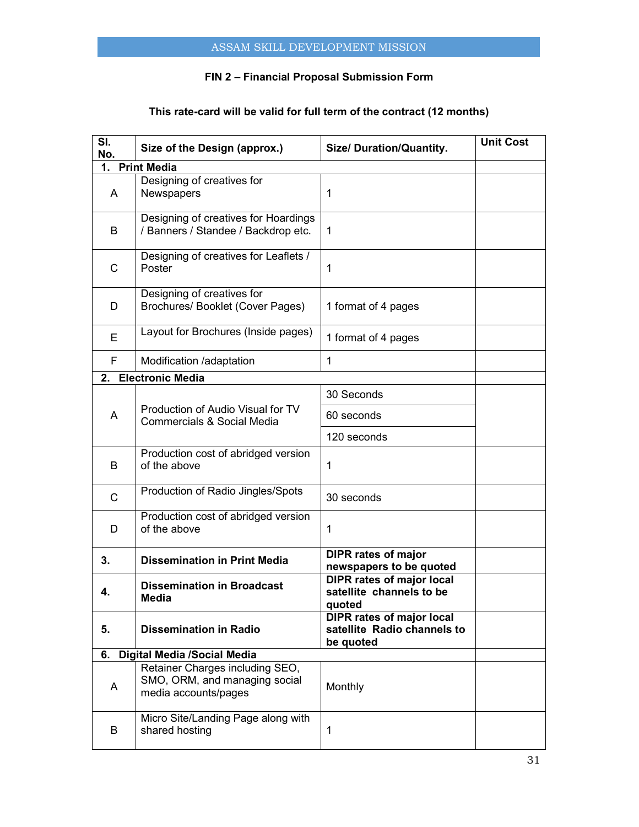## **FIN 2 – Financial Proposal Submission Form**

## **This rate-card will be valid for full term of the contract (12 months)**

| SI.<br>No.   | Size of the Design (approx.)                                                             | Size/ Duration/Quantity.                                                     | <b>Unit Cost</b> |
|--------------|------------------------------------------------------------------------------------------|------------------------------------------------------------------------------|------------------|
| 1.           | <b>Print Media</b>                                                                       |                                                                              |                  |
| A            | Designing of creatives for<br>Newspapers                                                 | 1                                                                            |                  |
| B            | Designing of creatives for Hoardings<br>/ Banners / Standee / Backdrop etc.              | 1                                                                            |                  |
| C            | Designing of creatives for Leaflets /<br>Poster                                          | 1                                                                            |                  |
| D            | Designing of creatives for<br>Brochures/ Booklet (Cover Pages)                           | 1 format of 4 pages                                                          |                  |
| Е            | Layout for Brochures (Inside pages)                                                      | 1 format of 4 pages                                                          |                  |
| F.           | Modification /adaptation                                                                 | 1                                                                            |                  |
| 2.           | <b>Electronic Media</b>                                                                  |                                                                              |                  |
|              |                                                                                          | 30 Seconds                                                                   |                  |
| A            | Production of Audio Visual for TV<br>Commercials & Social Media                          | 60 seconds                                                                   |                  |
|              |                                                                                          | 120 seconds                                                                  |                  |
| B            | Production cost of abridged version<br>of the above                                      | 1                                                                            |                  |
| $\mathsf{C}$ | Production of Radio Jingles/Spots                                                        | 30 seconds                                                                   |                  |
| D            | Production cost of abridged version<br>of the above                                      | 1                                                                            |                  |
| 3.           | <b>Dissemination in Print Media</b>                                                      | <b>DIPR rates of major</b><br>newspapers to be quoted                        |                  |
| 4.           | <b>Dissemination in Broadcast</b><br><b>Media</b>                                        | <b>DIPR rates of major local</b><br>satellite channels to be<br>quotea       |                  |
| 5.           | <b>Dissemination in Radio</b>                                                            | <b>DIPR rates of major local</b><br>satellite Radio channels to<br>be quoted |                  |
| 6.           | <b>Digital Media /Social Media</b>                                                       |                                                                              |                  |
| A            | Retainer Charges including SEO,<br>SMO, ORM, and managing social<br>media accounts/pages | Monthly                                                                      |                  |
| B            | Micro Site/Landing Page along with<br>shared hosting                                     | 1                                                                            |                  |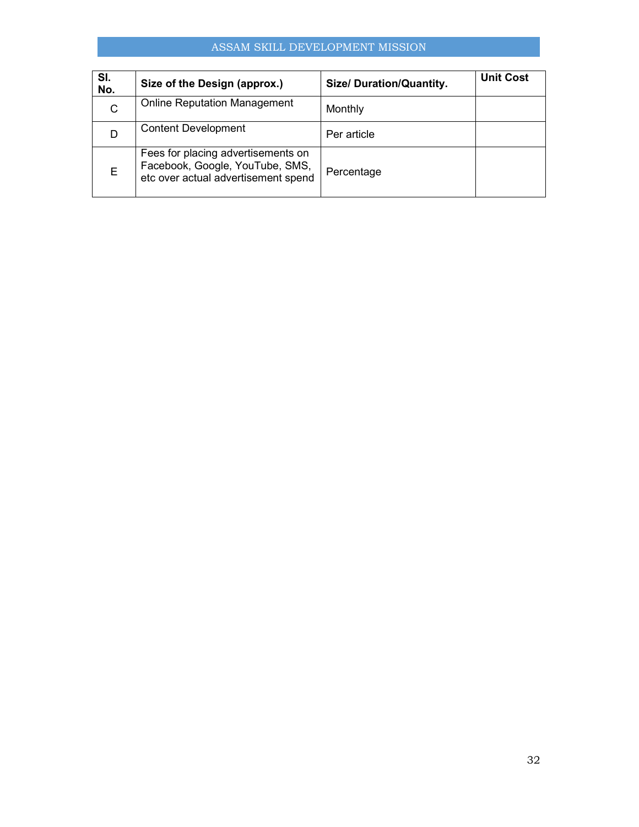## ASSAM SKILL DEVELOPMENT MISSION

| SI.<br>No. | Size of the Design (approx.)                                                                                 | <b>Size/ Duration/Quantity.</b> | <b>Unit Cost</b> |
|------------|--------------------------------------------------------------------------------------------------------------|---------------------------------|------------------|
| C          | <b>Online Reputation Management</b>                                                                          | Monthly                         |                  |
|            | <b>Content Development</b>                                                                                   | Per article                     |                  |
| E.         | Fees for placing advertisements on<br>Facebook, Google, YouTube, SMS,<br>etc over actual advertisement spend | Percentage                      |                  |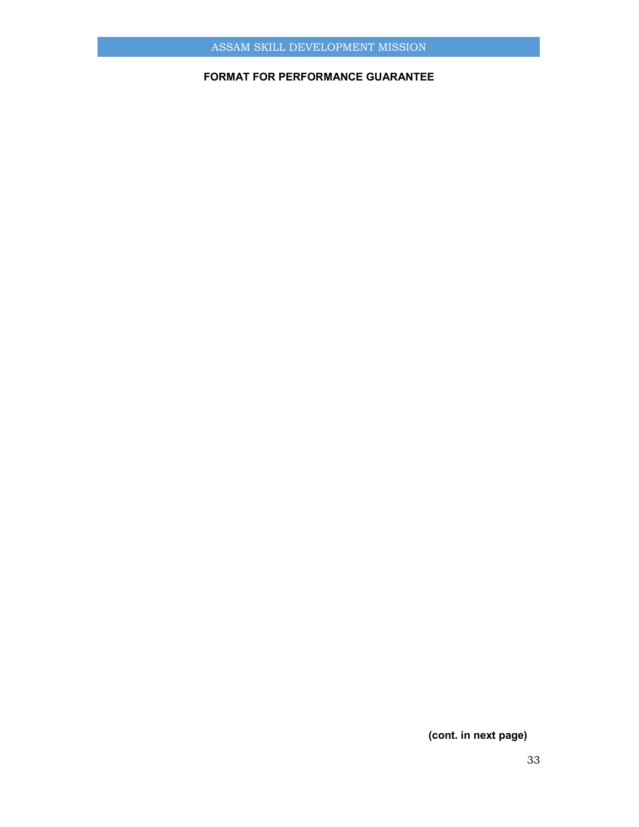## **FORMAT FOR PERFORMANCE GUARANTEE**

## **(cont. in next page)**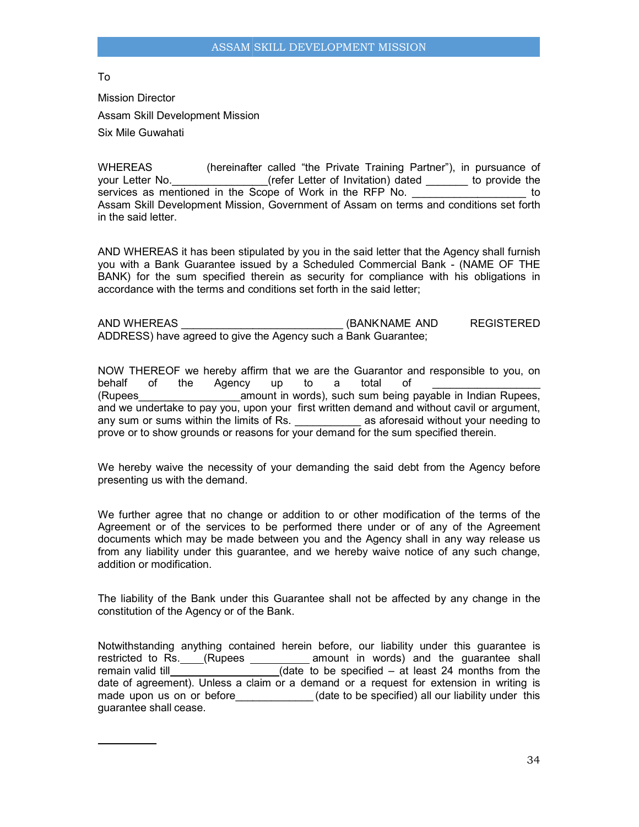To

Mission Director Assam Skill Development Mission Six Mile Guwahati

WHEREAS (hereinafter called "the Private Training Partner"), in pursuance of your Letter No. \_\_\_\_\_\_\_\_\_\_\_\_\_\_\_\_(refer Letter of Invitation) dated \_\_\_\_\_\_\_ to provide the services as mentioned in the Scope of Work in the RFP No. Assam Skill Development Mission, Government of Assam on terms and conditions set forth in the said letter. Assam Skill Development Mission, Government of Assam on terms and conditions set forth<br>in the said letter.<br>AND WHEREAS it has been stipulated by you in the said letter that the Agency shall furnish (hereinafter called "the Private Training Partner"), in pursuance of<br>
The Core of Work in the RFP No. to<br>
private to provide the Scope of Work in the RFP No.<br>
private the Agency stipulated by you in the said letter that th

you with a Bank Guarantee issued by a Scheduled Commercial Bank - (NAME OF THE BANK) for the sum specified therein as security for compliance with his obligations in<br>accordance with the terms and conditions set forth in the said letter; accordance with the terms and conditions set forth in the said letter:

| AND WHEREAS                                                    | (BANKNAME AND | REGISTERED |
|----------------------------------------------------------------|---------------|------------|
| ADDRESS) have agreed to give the Agency such a Bank Guarantee; |               |            |

NOW THEREOF we hereby affirm that we are the Guarantor and responsible to you, on<br>behalf of the Agency up to a total of \_\_\_\_\_\_\_\_\_\_\_\_\_\_\_\_\_\_\_\_\_ behalf of the Agency (Rupees\_\_\_\_\_\_\_\_\_\_\_\_\_\_\_\_\_amount in words), such sum being payable in Indian Rupees, and we undertake to pay you, upon your first written demand and without cavil or argument, any sum or sums within the limits of Rs. \_\_\_\_\_\_\_\_\_\_\_\_\_\_\_ as aforesaid without your needing to prove or to show grounds or reasons for your demand for the sum specified therein. amount in words), such sum being payable in Indian Rupees,<br>to pay you, upon your first written demand and without cavil or argument,<br>within the limits of Rs. \_\_\_\_\_\_\_\_\_\_\_\_\_\_ as aforesaid without your needing to al Bank - (NAME OF THE<br>nce with his obligations in<br>er;<br>EXECTERED<br>tee;<br>and responsible to you, on<br>f<br>payable in Indian Rupees,<br>d without cavil or argument,<br>aid without your needing to<br>n specified therein.<br>bt from the Agency

prove or to show grounds or reasons for your demand for the sum specified therein.<br>We hereby waive the necessity of your demanding the said debt from the Agency presenting us with the demand.

We further agree that no change or addition to or other modification of the terms of the Agreement or of the services to be performed there under or of any of the Agreement We further agree that no change or addition to or other modification of the terms of the<br>Agreement or of the services to be performed there under or of any of the Agreement<br>documents which may be made between you and the A from any liability under this guarantee, and we hereby waive notice of any such change, addition or modification. ee that no change or addition to or other modification of the terms of the<br>of the services to be performed there under or of any of the Agreement<br>ch may be made between you and the Agency shall in any way release us<br>ificat

The liability of the Bank under this Guarantee shall not be affected by any change in the constitution of the Agency or of the Bank.

Notwithstanding anything contained herein before, our liability under this guarantee is restricted to Rs. \_\_\_\_(Rupees \_\_\_\_\_\_\_\_\_\_\_ amount in words) and the guarantee shall remain valid till date of agreement). Unless a claim or a demand or a request for extension made upon us on or before \_\_\_\_\_\_\_\_\_\_\_\_\_\_(date to be specified) all our liability under this guarantee shall cease. \_\_\_\_\_\_\_\_\_\_\_\_\_\_\_\_\_(date to be specified – at least 24 months from the